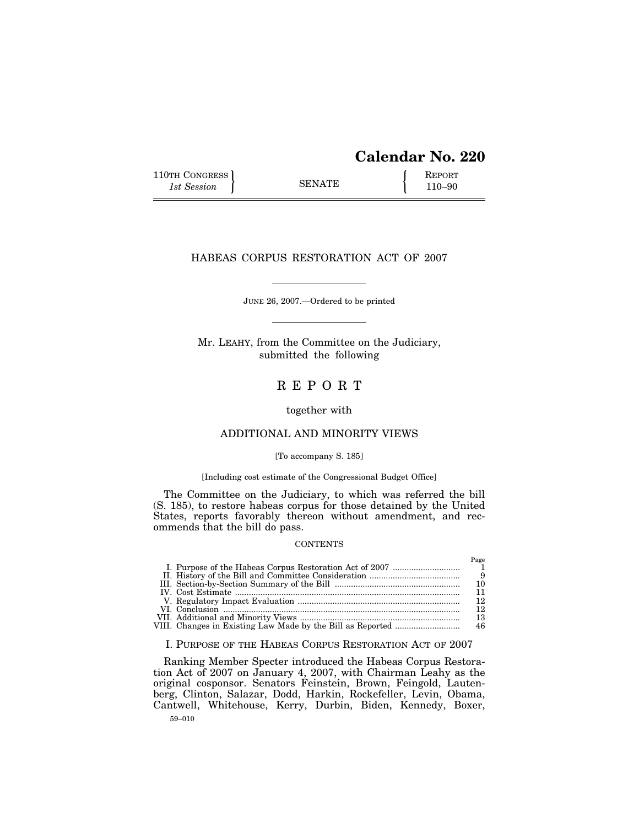# **Calendar No. 220**

110TH CONGRESS REPORT SENATE  $\left\{\begin{array}{c} \text{REPORT} \\ 110\text{--}90 \end{array}\right\}$ 1st Session **110–90 SENATE** 110–90

# HABEAS CORPUS RESTORATION ACT OF 2007

JUNE 26, 2007.—Ordered to be printed

Mr. LEAHY, from the Committee on the Judiciary, submitted the following

# R E P O R T

### together with

# ADDITIONAL AND MINORITY VIEWS

#### [To accompany S. 185]

## [Including cost estimate of the Congressional Budget Office]

The Committee on the Judiciary, to which was referred the bill (S. 185), to restore habeas corpus for those detained by the United States, reports favorably thereon without amendment, and recommends that the bill do pass.

## **CONTENTS**

|  | Page |
|--|------|
|  |      |
|  |      |
|  | - 10 |
|  |      |
|  | 12   |
|  | 12   |
|  | 13   |
|  | 46   |

# I. PURPOSE OF THE HABEAS CORPUS RESTORATION ACT OF 2007

59–010 Ranking Member Specter introduced the Habeas Corpus Restoration Act of 2007 on January 4, 2007, with Chairman Leahy as the original cosponsor. Senators Feinstein, Brown, Feingold, Lautenberg, Clinton, Salazar, Dodd, Harkin, Rockefeller, Levin, Obama, Cantwell, Whitehouse, Kerry, Durbin, Biden, Kennedy, Boxer,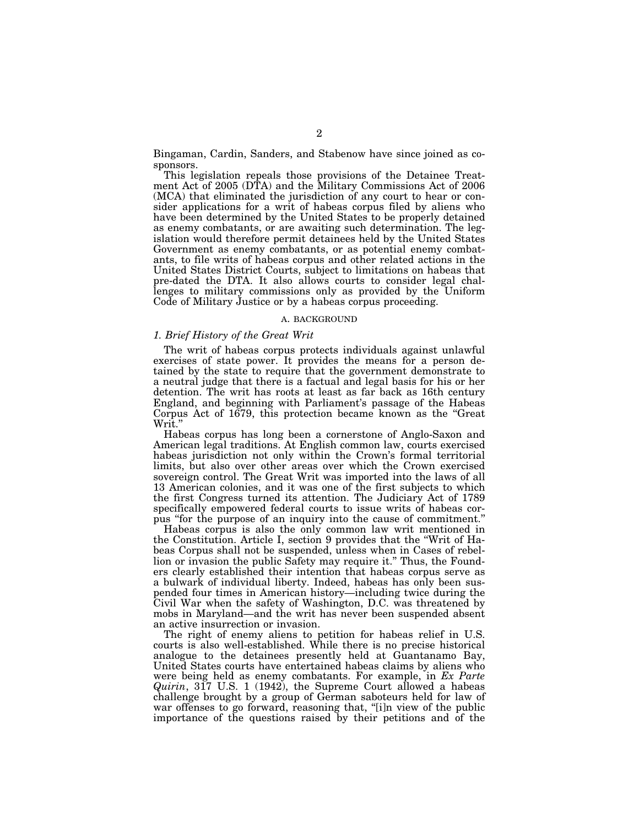Bingaman, Cardin, Sanders, and Stabenow have since joined as cosponsors.

This legislation repeals those provisions of the Detainee Treatment Act of 2005 (DTA) and the Military Commissions Act of 2006 (MCA) that eliminated the jurisdiction of any court to hear or consider applications for a writ of habeas corpus filed by aliens who have been determined by the United States to be properly detained as enemy combatants, or are awaiting such determination. The legislation would therefore permit detainees held by the United States Government as enemy combatants, or as potential enemy combatants, to file writs of habeas corpus and other related actions in the United States District Courts, subject to limitations on habeas that pre-dated the DTA. It also allows courts to consider legal challenges to military commissions only as provided by the Uniform Code of Military Justice or by a habeas corpus proceeding.

#### A. BACKGROUND

#### *1. Brief History of the Great Writ*

The writ of habeas corpus protects individuals against unlawful exercises of state power. It provides the means for a person detained by the state to require that the government demonstrate to a neutral judge that there is a factual and legal basis for his or her detention. The writ has roots at least as far back as 16th century England, and beginning with Parliament's passage of the Habeas Corpus Act of 1679, this protection became known as the ''Great Writ.''

Habeas corpus has long been a cornerstone of Anglo-Saxon and American legal traditions. At English common law, courts exercised habeas jurisdiction not only within the Crown's formal territorial limits, but also over other areas over which the Crown exercised sovereign control. The Great Writ was imported into the laws of all 13 American colonies, and it was one of the first subjects to which the first Congress turned its attention. The Judiciary Act of 1789 specifically empowered federal courts to issue writs of habeas corpus ''for the purpose of an inquiry into the cause of commitment.''

Habeas corpus is also the only common law writ mentioned in the Constitution. Article I, section 9 provides that the ''Writ of Habeas Corpus shall not be suspended, unless when in Cases of rebellion or invasion the public Safety may require it.'' Thus, the Founders clearly established their intention that habeas corpus serve as a bulwark of individual liberty. Indeed, habeas has only been suspended four times in American history—including twice during the Civil War when the safety of Washington, D.C. was threatened by mobs in Maryland—and the writ has never been suspended absent an active insurrection or invasion.

The right of enemy aliens to petition for habeas relief in U.S. courts is also well-established. While there is no precise historical analogue to the detainees presently held at Guantanamo Bay, United States courts have entertained habeas claims by aliens who were being held as enemy combatants. For example, in *Ex Parte Quirin*, 317 U.S. 1 (1942), the Supreme Court allowed a habeas challenge brought by a group of German saboteurs held for law of war offenses to go forward, reasoning that, "[i]n view of the public importance of the questions raised by their petitions and of the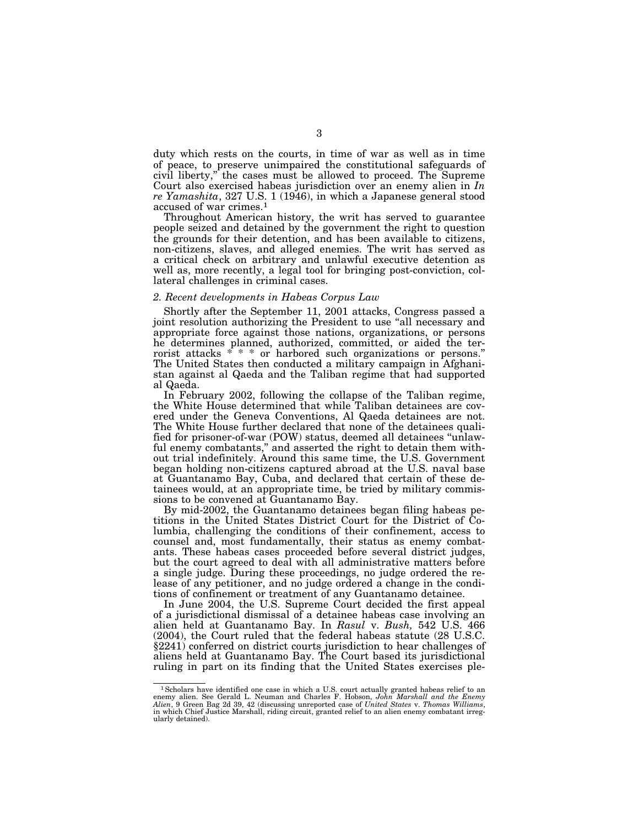duty which rests on the courts, in time of war as well as in time of peace, to preserve unimpaired the constitutional safeguards of civil liberty,'' the cases must be allowed to proceed. The Supreme Court also exercised habeas jurisdiction over an enemy alien in *In re Yamashita*, 327 U.S. 1 (1946), in which a Japanese general stood accused of war crimes.1

Throughout American history, the writ has served to guarantee people seized and detained by the government the right to question the grounds for their detention, and has been available to citizens, non-citizens, slaves, and alleged enemies. The writ has served as a critical check on arbitrary and unlawful executive detention as well as, more recently, a legal tool for bringing post-conviction, collateral challenges in criminal cases.

#### *2. Recent developments in Habeas Corpus Law*

Shortly after the September 11, 2001 attacks, Congress passed a joint resolution authorizing the President to use ''all necessary and appropriate force against those nations, organizations, or persons he determines planned, authorized, committed, or aided the terrorist attacks \* \* \* or harbored such organizations or persons.'' The United States then conducted a military campaign in Afghanistan against al Qaeda and the Taliban regime that had supported al Qaeda.

In February 2002, following the collapse of the Taliban regime, the White House determined that while Taliban detainees are covered under the Geneva Conventions, Al Qaeda detainees are not. The White House further declared that none of the detainees qualified for prisoner-of-war (POW) status, deemed all detainees ''unlawful enemy combatants,'' and asserted the right to detain them without trial indefinitely. Around this same time, the U.S. Government began holding non-citizens captured abroad at the U.S. naval base at Guantanamo Bay, Cuba, and declared that certain of these detainees would, at an appropriate time, be tried by military commissions to be convened at Guantanamo Bay.

By mid-2002, the Guantanamo detainees began filing habeas petitions in the United States District Court for the District of Columbia, challenging the conditions of their confinement, access to counsel and, most fundamentally, their status as enemy combatants. These habeas cases proceeded before several district judges, but the court agreed to deal with all administrative matters before a single judge. During these proceedings, no judge ordered the release of any petitioner, and no judge ordered a change in the conditions of confinement or treatment of any Guantanamo detainee.

In June 2004, the U.S. Supreme Court decided the first appeal of a jurisdictional dismissal of a detainee habeas case involving an alien held at Guantanamo Bay. In *Rasul* v. *Bush,* 542 U.S. 466 (2004), the Court ruled that the federal habeas statute (28 U.S.C. §2241) conferred on district courts jurisdiction to hear challenges of aliens held at Guantanamo Bay. The Court based its jurisdictional ruling in part on its finding that the United States exercises ple-

<sup>1</sup>Scholars have identified one case in which a U.S. court actually granted habeas relief to an enemy alien. See Gerald L. Neuman and Charles F. Hobson, *John Marshall and the Enemy Alien*, 9 Green Bag 2d 39, 42 (discussing unreported case of *United States* v. *Thomas Williams*, in which Chief Justice Marshall, riding circuit, granted relief to an alien enemy combatant irregularly detained).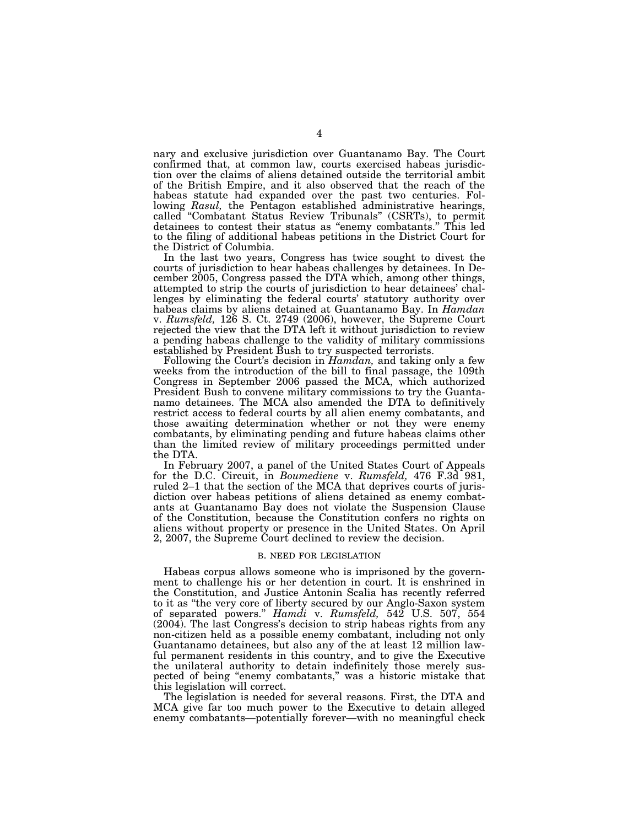nary and exclusive jurisdiction over Guantanamo Bay. The Court confirmed that, at common law, courts exercised habeas jurisdiction over the claims of aliens detained outside the territorial ambit of the British Empire, and it also observed that the reach of the habeas statute had expanded over the past two centuries. Following *Rasul,* the Pentagon established administrative hearings, called ''Combatant Status Review Tribunals'' (CSRTs), to permit detainees to contest their status as ''enemy combatants.'' This led to the filing of additional habeas petitions in the District Court for the District of Columbia.

In the last two years, Congress has twice sought to divest the courts of jurisdiction to hear habeas challenges by detainees. In December 2005, Congress passed the DTA which, among other things, attempted to strip the courts of jurisdiction to hear detainees' challenges by eliminating the federal courts' statutory authority over habeas claims by aliens detained at Guantanamo Bay. In *Hamdan*  v. *Rumsfeld,* 126 S. Ct. 2749 (2006), however, the Supreme Court rejected the view that the DTA left it without jurisdiction to review a pending habeas challenge to the validity of military commissions established by President Bush to try suspected terrorists.

Following the Court's decision in *Hamdan,* and taking only a few weeks from the introduction of the bill to final passage, the 109th Congress in September 2006 passed the MCA, which authorized President Bush to convene military commissions to try the Guantanamo detainees. The MCA also amended the DTA to definitively restrict access to federal courts by all alien enemy combatants, and those awaiting determination whether or not they were enemy combatants, by eliminating pending and future habeas claims other than the limited review of military proceedings permitted under the DTA.

In February 2007, a panel of the United States Court of Appeals for the D.C. Circuit, in *Boumediene* v. *Rumsfeld,* 476 F.3d 981, ruled 2–1 that the section of the MCA that deprives courts of jurisdiction over habeas petitions of aliens detained as enemy combatants at Guantanamo Bay does not violate the Suspension Clause of the Constitution, because the Constitution confers no rights on aliens without property or presence in the United States. On April 2, 2007, the Supreme Court declined to review the decision.

#### B. NEED FOR LEGISLATION

Habeas corpus allows someone who is imprisoned by the government to challenge his or her detention in court. It is enshrined in the Constitution, and Justice Antonin Scalia has recently referred to it as ''the very core of liberty secured by our Anglo-Saxon system of separated powers.'' *Hamdi* v. *Rumsfeld,* 542 U.S. 507, 554 (2004). The last Congress's decision to strip habeas rights from any non-citizen held as a possible enemy combatant, including not only Guantanamo detainees, but also any of the at least 12 million lawful permanent residents in this country, and to give the Executive the unilateral authority to detain indefinitely those merely suspected of being ''enemy combatants,'' was a historic mistake that this legislation will correct.

The legislation is needed for several reasons. First, the DTA and MCA give far too much power to the Executive to detain alleged enemy combatants—potentially forever—with no meaningful check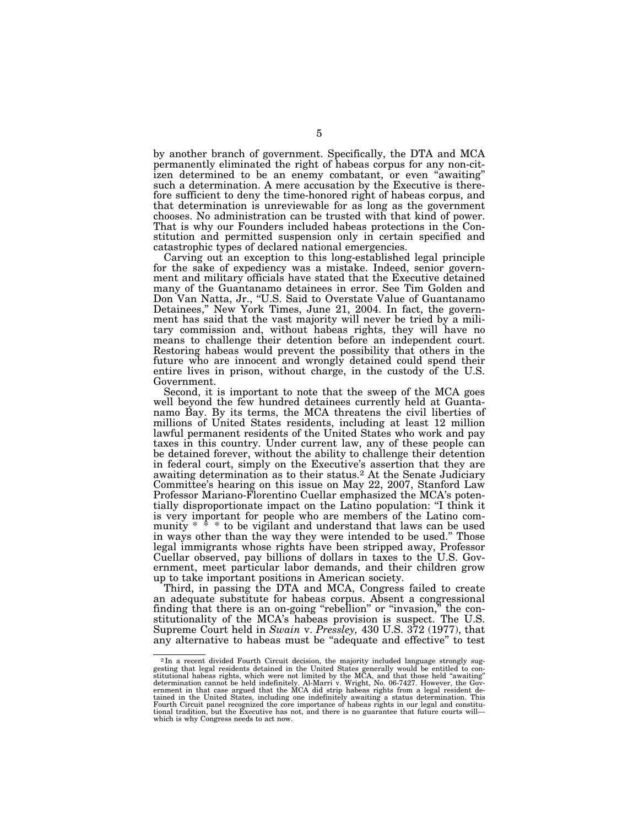by another branch of government. Specifically, the DTA and MCA permanently eliminated the right of habeas corpus for any non-citizen determined to be an enemy combatant, or even ''awaiting'' such a determination. A mere accusation by the Executive is therefore sufficient to deny the time-honored right of habeas corpus, and that determination is unreviewable for as long as the government chooses. No administration can be trusted with that kind of power. That is why our Founders included habeas protections in the Constitution and permitted suspension only in certain specified and catastrophic types of declared national emergencies.

Carving out an exception to this long-established legal principle for the sake of expediency was a mistake. Indeed, senior government and military officials have stated that the Executive detained many of the Guantanamo detainees in error. See Tim Golden and Don Van Natta, Jr., ''U.S. Said to Overstate Value of Guantanamo Detainees,'' New York Times, June 21, 2004. In fact, the government has said that the vast majority will never be tried by a military commission and, without habeas rights, they will have no means to challenge their detention before an independent court. Restoring habeas would prevent the possibility that others in the future who are innocent and wrongly detained could spend their entire lives in prison, without charge, in the custody of the U.S. Government.

Second, it is important to note that the sweep of the MCA goes well beyond the few hundred detainees currently held at Guantanamo Bay. By its terms, the MCA threatens the civil liberties of millions of United States residents, including at least 12 million lawful permanent residents of the United States who work and pay taxes in this country. Under current law, any of these people can be detained forever, without the ability to challenge their detention in federal court, simply on the Executive's assertion that they are awaiting determination as to their status.2 At the Senate Judiciary Committee's hearing on this issue on May 22, 2007, Stanford Law Professor Mariano-Florentino Cuellar emphasized the MCA's potentially disproportionate impact on the Latino population: ''I think it is very important for people who are members of the Latino community \* \* \* to be vigilant and understand that laws can be used in ways other than the way they were intended to be used.'' Those legal immigrants whose rights have been stripped away, Professor Cuellar observed, pay billions of dollars in taxes to the U.S. Government, meet particular labor demands, and their children grow up to take important positions in American society.

Third, in passing the DTA and MCA, Congress failed to create an adequate substitute for habeas corpus. Absent a congressional finding that there is an on-going "rebellion" or "invasion," the constitutionality of the MCA's habeas provision is suspect. The U.S. Supreme Court held in *Swain* v. *Pressley,* 430 U.S. 372 (1977), that any alternative to habeas must be ''adequate and effective'' to test

<sup>&</sup>lt;sup>2</sup>In a recent divided Fourth Circuit decision, the majority included language strongly suggesting that legal residents detained in the United States generally would be entitled to constitutional habeas rights, which were not limited by the MCA, and that those held "awaiting"<br>determination cannot be held indefin tained in the United States, including one indefinitely awaiting a status determination. This Fourth Circuit panel recognized the core importance of habeas rights in our legal and constitu-<br>tional tradition, but the Executive has not, and there is no guarantee that future courts will—<br>which is why Congress needs to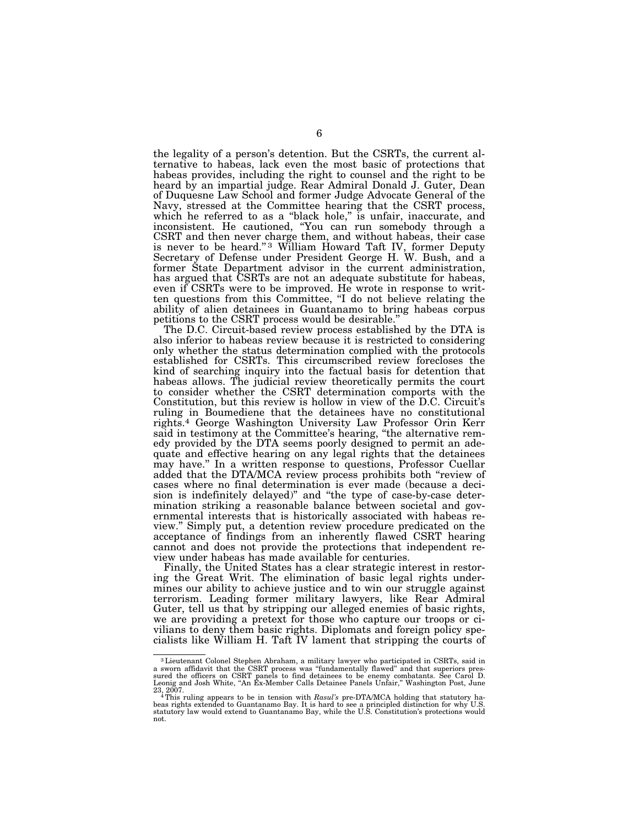the legality of a person's detention. But the CSRTs, the current alternative to habeas, lack even the most basic of protections that habeas provides, including the right to counsel and the right to be heard by an impartial judge. Rear Admiral Donald J. Guter, Dean of Duquesne Law School and former Judge Advocate General of the Navy, stressed at the Committee hearing that the CSRT process, which he referred to as a "black hole," is unfair, inaccurate, and inconsistent. He cautioned, ''You can run somebody through a CSRT and then never charge them, and without habeas, their case is never to be heard."<sup>3</sup> William Howard Taft IV, former Deputy Secretary of Defense under President George H. W. Bush, and a former State Department advisor in the current administration, has argued that CSRTs are not an adequate substitute for habeas, even if CSRTs were to be improved. He wrote in response to written questions from this Committee, "I do not believe relating the ability of alien detainees in Guantanamo to bring habeas corpus petitions to the CSRT process would be desirable."

The D.C. Circuit-based review process established by the DTA is also inferior to habeas review because it is restricted to considering only whether the status determination complied with the protocols established for CSRTs. This circumscribed review forecloses the kind of searching inquiry into the factual basis for detention that habeas allows. The judicial review theoretically permits the court to consider whether the CSRT determination comports with the Constitution, but this review is hollow in view of the D.C. Circuit's ruling in Boumediene that the detainees have no constitutional rights.4 George Washington University Law Professor Orin Kerr said in testimony at the Committee's hearing, ''the alternative remedy provided by the DTA seems poorly designed to permit an adequate and effective hearing on any legal rights that the detainees may have.'' In a written response to questions, Professor Cuellar added that the DTA/MCA review process prohibits both ''review of cases where no final determination is ever made (because a decision is indefinitely delayed)'' and ''the type of case-by-case determination striking a reasonable balance between societal and governmental interests that is historically associated with habeas review.'' Simply put, a detention review procedure predicated on the acceptance of findings from an inherently flawed CSRT hearing cannot and does not provide the protections that independent review under habeas has made available for centuries.

Finally, the United States has a clear strategic interest in restoring the Great Writ. The elimination of basic legal rights undermines our ability to achieve justice and to win our struggle against terrorism. Leading former military lawyers, like Rear Admiral Guter, tell us that by stripping our alleged enemies of basic rights, we are providing a pretext for those who capture our troops or civilians to deny them basic rights. Diplomats and foreign policy specialists like William H. Taft IV lament that stripping the courts of

<sup>3</sup>Lieutenant Colonel Stephen Abraham, a military lawyer who participated in CSRTs, said in a sworn affidavit that the CSRT process was "fundamentally flawed" and that superiors pressured the officers on CSRT panels to find detainees to be enemy combatants. See Carol D. Leonig and Josh White, "An Ex-Member Calls

beas rights extended to Guantanamo Bay. It is hard to see a principled distinction for why U.S. statutory law would extend to Guantanamo Bay, while the U.S. Constitution's protections would not.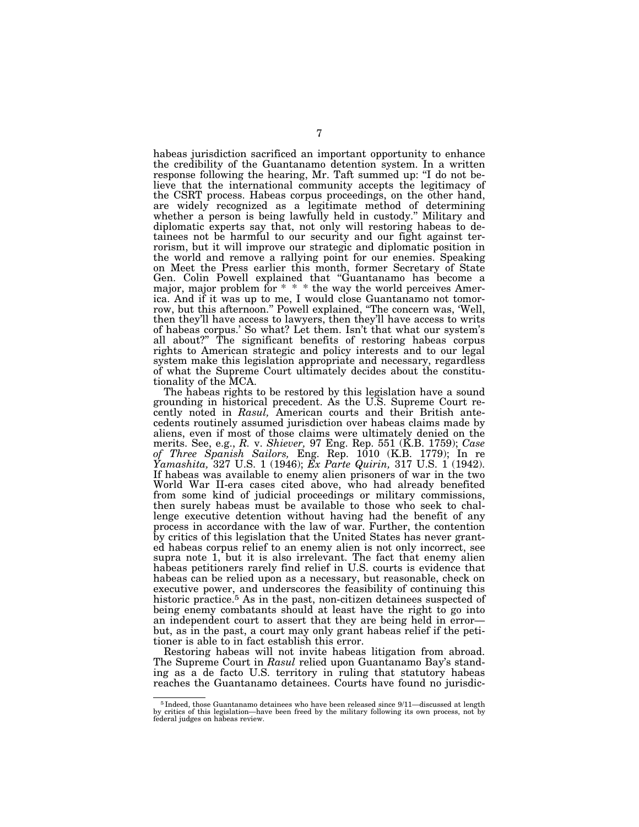habeas jurisdiction sacrificed an important opportunity to enhance the credibility of the Guantanamo detention system. In a written response following the hearing, Mr. Taft summed up: ''I do not believe that the international community accepts the legitimacy of the CSRT process. Habeas corpus proceedings, on the other hand, are widely recognized as a legitimate method of determining whether a person is being lawfully held in custody.'' Military and diplomatic experts say that, not only will restoring habeas to detainees not be harmful to our security and our fight against terrorism, but it will improve our strategic and diplomatic position in the world and remove a rallying point for our enemies. Speaking on Meet the Press earlier this month, former Secretary of State Gen. Colin Powell explained that ''Guantanamo has become a major, major problem for \* \* \* the way the world perceives America. And if it was up to me, I would close Guantanamo not tomorrow, but this afternoon.'' Powell explained, ''The concern was, 'Well, then they'll have access to lawyers, then they'll have access to writs of habeas corpus.' So what? Let them. Isn't that what our system's all about?" The significant benefits of restoring habeas corpus rights to American strategic and policy interests and to our legal system make this legislation appropriate and necessary, regardless of what the Supreme Court ultimately decides about the constitutionality of the MCA.

The habeas rights to be restored by this legislation have a sound grounding in historical precedent. As the U.S. Supreme Court recently noted in *Rasul,* American courts and their British antecedents routinely assumed jurisdiction over habeas claims made by aliens, even if most of those claims were ultimately denied on the merits. See, e.g., *R.* v. *Shiever,* 97 Eng. Rep. 551 (K.B. 1759); *Case of Three Spanish Sailors,* Eng. Rep. 1010 (K.B. 1779); In re *Yamashita,* 327 U.S. 1 (1946); *Ex Parte Quirin,* 317 U.S. 1 (1942). If habeas was available to enemy alien prisoners of war in the two World War II-era cases cited above, who had already benefited from some kind of judicial proceedings or military commissions, then surely habeas must be available to those who seek to challenge executive detention without having had the benefit of any process in accordance with the law of war. Further, the contention by critics of this legislation that the United States has never granted habeas corpus relief to an enemy alien is not only incorrect, see supra note 1, but it is also irrelevant. The fact that enemy alien habeas petitioners rarely find relief in U.S. courts is evidence that habeas can be relied upon as a necessary, but reasonable, check on executive power, and underscores the feasibility of continuing this historic practice.<sup>5</sup> As in the past, non-citizen detainees suspected of being enemy combatants should at least have the right to go into an independent court to assert that they are being held in error but, as in the past, a court may only grant habeas relief if the petitioner is able to in fact establish this error.

Restoring habeas will not invite habeas litigation from abroad. The Supreme Court in *Rasul* relied upon Guantanamo Bay's standing as a de facto U.S. territory in ruling that statutory habeas reaches the Guantanamo detainees. Courts have found no jurisdic-

<sup>5</sup> Indeed, those Guantanamo detainees who have been released since 9/11—discussed at length by critics of this legislation—have been freed by the military following its own process, not by federal judges on habeas review.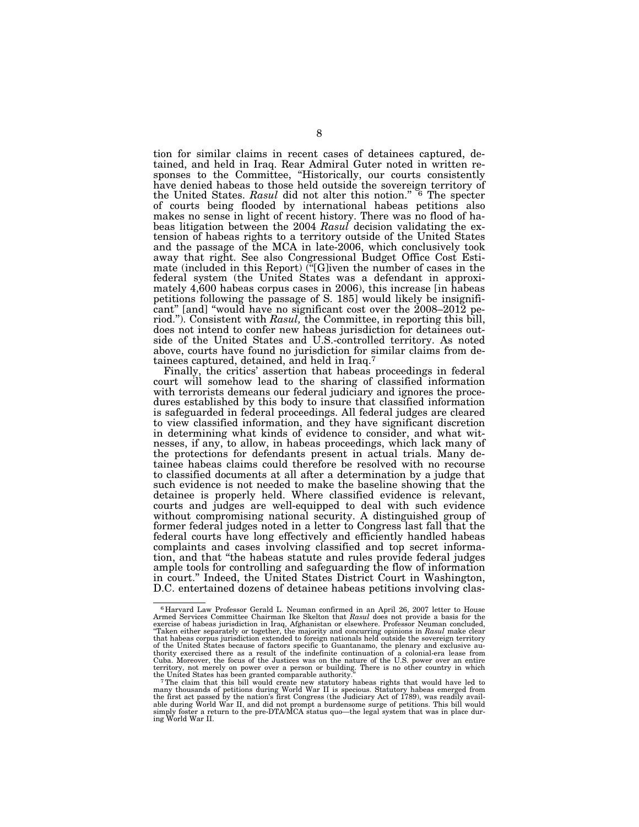tion for similar claims in recent cases of detainees captured, detained, and held in Iraq. Rear Admiral Guter noted in written responses to the Committee, "Historically, our courts consistently have denied habeas to those held outside the sovereign territory of the United States. *Rasul* did not alter this notion.'' 6 The specter of courts being flooded by international habeas petitions also makes no sense in light of recent history. There was no flood of habeas litigation between the 2004 *Rasul* decision validating the extension of habeas rights to a territory outside of the United States and the passage of the MCA in late-2006, which conclusively took away that right. See also Congressional Budget Office Cost Estimate (included in this Report) (''[G]iven the number of cases in the federal system (the United States was a defendant in approximately 4,600 habeas corpus cases in 2006), this increase [in habeas petitions following the passage of S. 185] would likely be insignificant'' [and] ''would have no significant cost over the 2008–2012 period.''). Consistent with *Rasul,* the Committee, in reporting this bill, does not intend to confer new habeas jurisdiction for detainees outside of the United States and U.S.-controlled territory. As noted above, courts have found no jurisdiction for similar claims from detainees captured, detained, and held in Iraq.7

Finally, the critics' assertion that habeas proceedings in federal court will somehow lead to the sharing of classified information with terrorists demeans our federal judiciary and ignores the procedures established by this body to insure that classified information is safeguarded in federal proceedings. All federal judges are cleared to view classified information, and they have significant discretion in determining what kinds of evidence to consider, and what witnesses, if any, to allow, in habeas proceedings, which lack many of the protections for defendants present in actual trials. Many detainee habeas claims could therefore be resolved with no recourse to classified documents at all after a determination by a judge that such evidence is not needed to make the baseline showing that the detainee is properly held. Where classified evidence is relevant, courts and judges are well-equipped to deal with such evidence without compromising national security. A distinguished group of former federal judges noted in a letter to Congress last fall that the federal courts have long effectively and efficiently handled habeas complaints and cases involving classified and top secret information, and that ''the habeas statute and rules provide federal judges ample tools for controlling and safeguarding the flow of information in court.'' Indeed, the United States District Court in Washington, D.C. entertained dozens of detainee habeas petitions involving clas-

<sup>&</sup>lt;sup>6</sup> Harvard Law Professor Gerald L. Neuman confirmed in an April 26, 2007 letter to House Armed Services Committee Chairman Ike Skelton that *Rasul* does not provide a basis for the exercise of habeas jurisdiction in Iraq that habeas corpus jurisdiction extended to foreign nationals held outside the sovereign territory of the United States because of factors specific to Guantanamo, the plenary and exclusive au-thority exercised there as a result of the indefinite continuation of a colonial-era lease from Cuba. Moreover, the focus of the Justices was on the nature of the U.S. power over an entire territory, not merely on power over a person or building. There is no other country in which

the United States has been granted comparable authority."<br>The claim that this bill would create new statutory habeas rights that would have led to<br>many thousands of petitions during World War II is specious. Statutory habe able during World War II, and did not prompt a burdensome surge of petitions. This bill would simply foster a return to the pre-DTA/MCA status quo—the legal system that was in place dur-ing World War II.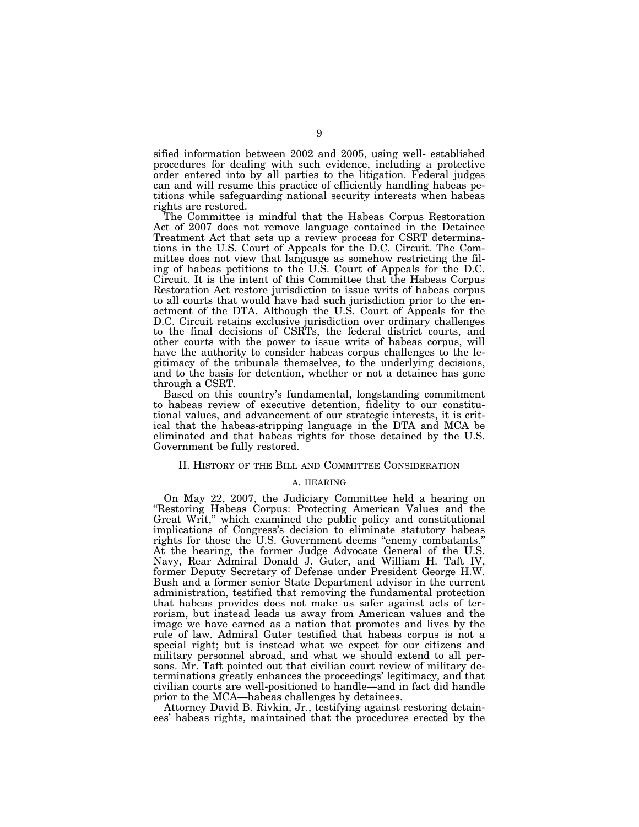sified information between 2002 and 2005, using well- established procedures for dealing with such evidence, including a protective order entered into by all parties to the litigation. Federal judges can and will resume this practice of efficiently handling habeas petitions while safeguarding national security interests when habeas rights are restored.

The Committee is mindful that the Habeas Corpus Restoration Act of 2007 does not remove language contained in the Detainee Treatment Act that sets up a review process for CSRT determinations in the U.S. Court of Appeals for the D.C. Circuit. The Committee does not view that language as somehow restricting the filing of habeas petitions to the U.S. Court of Appeals for the D.C. Circuit. It is the intent of this Committee that the Habeas Corpus Restoration Act restore jurisdiction to issue writs of habeas corpus to all courts that would have had such jurisdiction prior to the enactment of the DTA. Although the U.S. Court of Appeals for the D.C. Circuit retains exclusive jurisdiction over ordinary challenges to the final decisions of CSRTs, the federal district courts, and other courts with the power to issue writs of habeas corpus, will have the authority to consider habeas corpus challenges to the legitimacy of the tribunals themselves, to the underlying decisions, and to the basis for detention, whether or not a detainee has gone through a CSRT.

Based on this country's fundamental, longstanding commitment to habeas review of executive detention, fidelity to our constitutional values, and advancement of our strategic interests, it is critical that the habeas-stripping language in the DTA and MCA be eliminated and that habeas rights for those detained by the U.S. Government be fully restored.

## II. HISTORY OF THE BILL AND COMMITTEE CONSIDERATION

#### A. HEARING

On May 22, 2007, the Judiciary Committee held a hearing on "Restoring Habeas Corpus: Protecting American Values and the Great Writ,'' which examined the public policy and constitutional implications of Congress's decision to eliminate statutory habeas rights for those the U.S. Government deems ''enemy combatants.'' At the hearing, the former Judge Advocate General of the U.S. Navy, Rear Admiral Donald J. Guter, and William H. Taft IV, former Deputy Secretary of Defense under President George H.W. Bush and a former senior State Department advisor in the current administration, testified that removing the fundamental protection that habeas provides does not make us safer against acts of terrorism, but instead leads us away from American values and the image we have earned as a nation that promotes and lives by the rule of law. Admiral Guter testified that habeas corpus is not a special right; but is instead what we expect for our citizens and military personnel abroad, and what we should extend to all persons. Mr. Taft pointed out that civilian court review of military determinations greatly enhances the proceedings' legitimacy, and that civilian courts are well-positioned to handle—and in fact did handle prior to the MCA—habeas challenges by detainees.

Attorney David B. Rivkin, Jr., testifying against restoring detainees' habeas rights, maintained that the procedures erected by the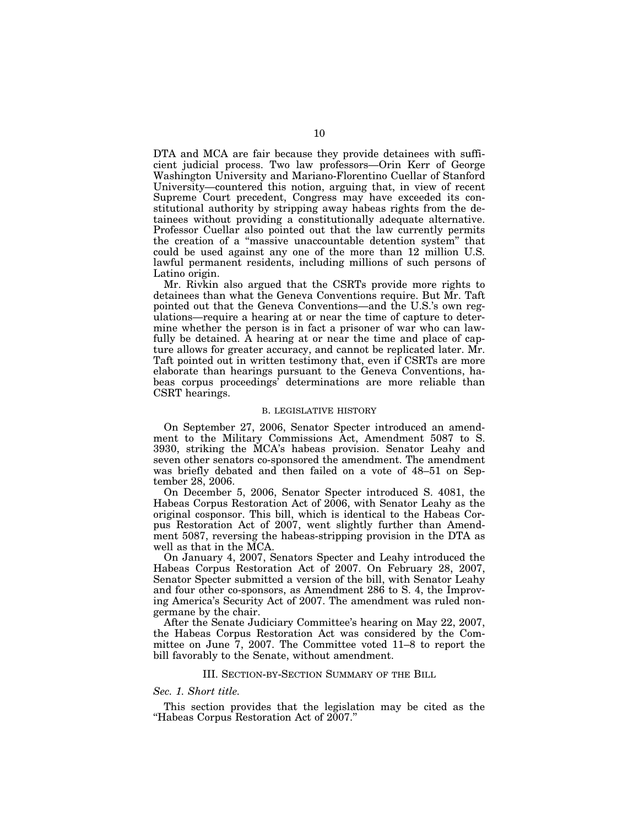DTA and MCA are fair because they provide detainees with sufficient judicial process. Two law professors—Orin Kerr of George Washington University and Mariano-Florentino Cuellar of Stanford University—countered this notion, arguing that, in view of recent Supreme Court precedent, Congress may have exceeded its constitutional authority by stripping away habeas rights from the detainees without providing a constitutionally adequate alternative. Professor Cuellar also pointed out that the law currently permits the creation of a ''massive unaccountable detention system'' that could be used against any one of the more than 12 million U.S. lawful permanent residents, including millions of such persons of Latino origin.

Mr. Rivkin also argued that the CSRTs provide more rights to detainees than what the Geneva Conventions require. But Mr. Taft pointed out that the Geneva Conventions—and the U.S.'s own regulations—require a hearing at or near the time of capture to determine whether the person is in fact a prisoner of war who can lawfully be detained. A hearing at or near the time and place of capture allows for greater accuracy, and cannot be replicated later. Mr. Taft pointed out in written testimony that, even if CSRTs are more elaborate than hearings pursuant to the Geneva Conventions, habeas corpus proceedings' determinations are more reliable than CSRT hearings.

#### B. LEGISLATIVE HISTORY

On September 27, 2006, Senator Specter introduced an amendment to the Military Commissions Act, Amendment 5087 to S. 3930, striking the MCA's habeas provision. Senator Leahy and seven other senators co-sponsored the amendment. The amendment was briefly debated and then failed on a vote of 48–51 on September 28, 2006.

On December 5, 2006, Senator Specter introduced S. 4081, the Habeas Corpus Restoration Act of 2006, with Senator Leahy as the original cosponsor. This bill, which is identical to the Habeas Corpus Restoration Act of 2007, went slightly further than Amendment 5087, reversing the habeas-stripping provision in the DTA as well as that in the MCA.

On January 4, 2007, Senators Specter and Leahy introduced the Habeas Corpus Restoration Act of 2007. On February 28, 2007, Senator Specter submitted a version of the bill, with Senator Leahy and four other co-sponsors, as Amendment 286 to S. 4, the Improving America's Security Act of 2007. The amendment was ruled nongermane by the chair.

After the Senate Judiciary Committee's hearing on May 22, 2007, the Habeas Corpus Restoration Act was considered by the Committee on June 7, 2007. The Committee voted 11–8 to report the bill favorably to the Senate, without amendment.

#### III. SECTION-BY-SECTION SUMMARY OF THE BILL

#### *Sec. 1. Short title.*

This section provides that the legislation may be cited as the ''Habeas Corpus Restoration Act of 2007.''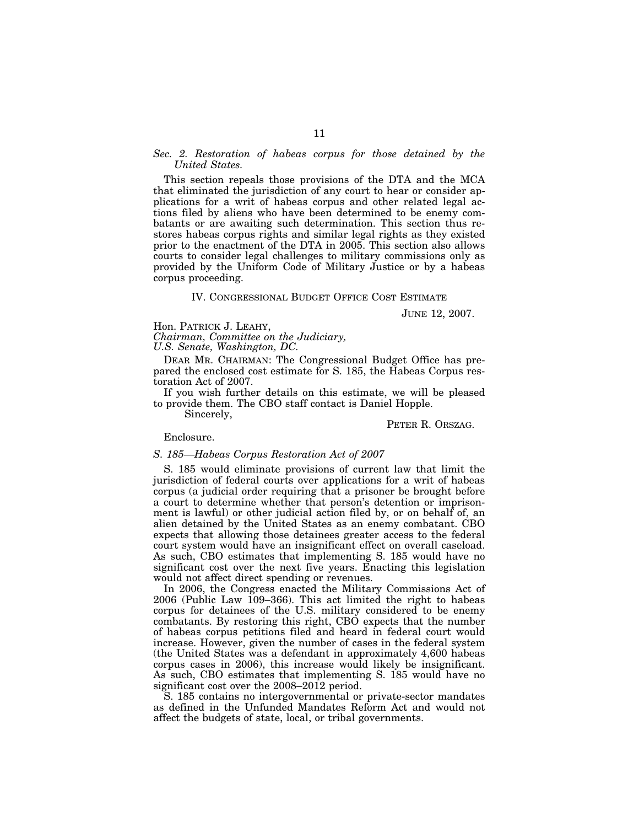## *Sec. 2. Restoration of habeas corpus for those detained by the United States.*

This section repeals those provisions of the DTA and the MCA that eliminated the jurisdiction of any court to hear or consider applications for a writ of habeas corpus and other related legal actions filed by aliens who have been determined to be enemy combatants or are awaiting such determination. This section thus restores habeas corpus rights and similar legal rights as they existed prior to the enactment of the DTA in 2005. This section also allows courts to consider legal challenges to military commissions only as provided by the Uniform Code of Military Justice or by a habeas corpus proceeding.

#### IV. CONGRESSIONAL BUDGET OFFICE COST ESTIMATE

JUNE 12, 2007.

Hon. PATRICK J. LEAHY,

*Chairman, Committee on the Judiciary, U.S. Senate, Washington, DC.* 

DEAR MR. CHAIRMAN: The Congressional Budget Office has prepared the enclosed cost estimate for S. 185, the Habeas Corpus restoration Act of 2007.

If you wish further details on this estimate, we will be pleased to provide them. The CBO staff contact is Daniel Hopple.

Sincerely,

#### PETER R. ORSZAG.

#### Enclosure.

## *S. 185—Habeas Corpus Restoration Act of 2007*

S. 185 would eliminate provisions of current law that limit the jurisdiction of federal courts over applications for a writ of habeas corpus (a judicial order requiring that a prisoner be brought before a court to determine whether that person's detention or imprisonment is lawful) or other judicial action filed by, or on behalf of, an alien detained by the United States as an enemy combatant. CBO expects that allowing those detainees greater access to the federal court system would have an insignificant effect on overall caseload. As such, CBO estimates that implementing S. 185 would have no significant cost over the next five years. Enacting this legislation would not affect direct spending or revenues.

In 2006, the Congress enacted the Military Commissions Act of 2006 (Public Law 109–366). This act limited the right to habeas corpus for detainees of the U.S. military considered to be enemy combatants. By restoring this right, CBO expects that the number of habeas corpus petitions filed and heard in federal court would increase. However, given the number of cases in the federal system (the United States was a defendant in approximately 4,600 habeas corpus cases in 2006), this increase would likely be insignificant. As such, CBO estimates that implementing S. 185 would have no significant cost over the 2008–2012 period.

S. 185 contains no intergovernmental or private-sector mandates as defined in the Unfunded Mandates Reform Act and would not affect the budgets of state, local, or tribal governments.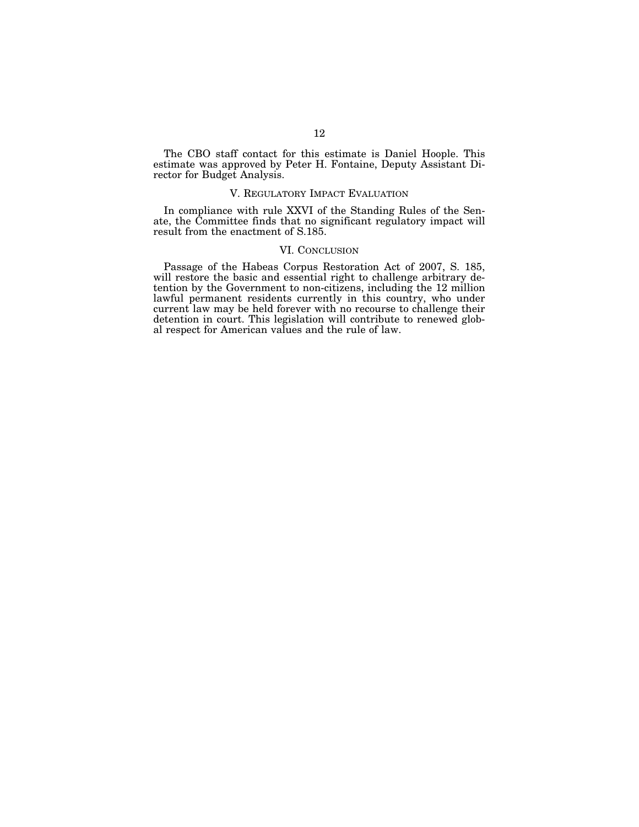The CBO staff contact for this estimate is Daniel Hoople. This estimate was approved by Peter H. Fontaine, Deputy Assistant Director for Budget Analysis.

# V. REGULATORY IMPACT EVALUATION

In compliance with rule XXVI of the Standing Rules of the Senate, the Committee finds that no significant regulatory impact will result from the enactment of S.185.

#### VI. CONCLUSION

Passage of the Habeas Corpus Restoration Act of 2007, S. 185, will restore the basic and essential right to challenge arbitrary detention by the Government to non-citizens, including the 12 million lawful permanent residents currently in this country, who under current law may be held forever with no recourse to challenge their detention in court. This legislation will contribute to renewed global respect for American values and the rule of law.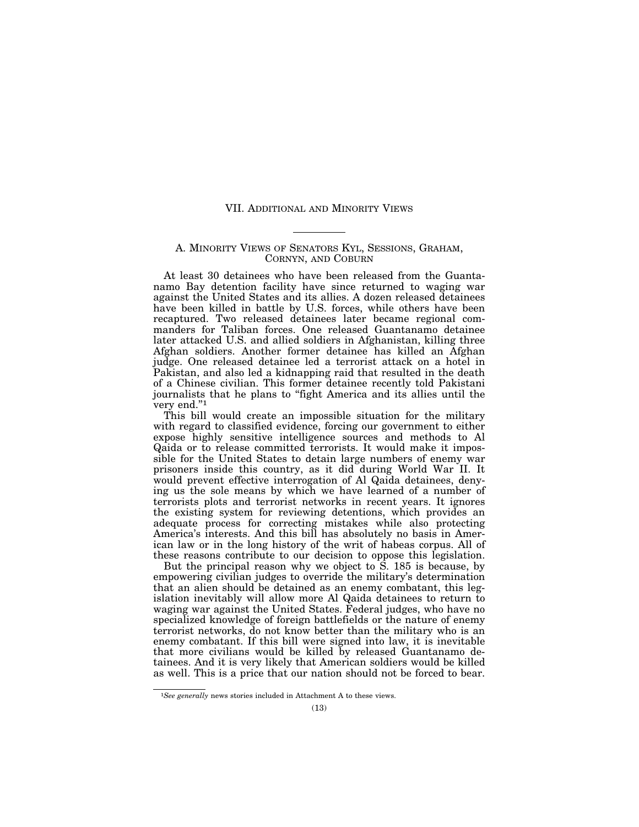## VII. ADDITIONAL AND MINORITY VIEWS

## A. MINORITY VIEWS OF SENATORS KYL, SESSIONS, GRAHAM, CORNYN, AND COBURN

At least 30 detainees who have been released from the Guantanamo Bay detention facility have since returned to waging war against the United States and its allies. A dozen released detainees have been killed in battle by U.S. forces, while others have been recaptured. Two released detainees later became regional commanders for Taliban forces. One released Guantanamo detainee later attacked U.S. and allied soldiers in Afghanistan, killing three Afghan soldiers. Another former detainee has killed an Afghan judge. One released detainee led a terrorist attack on a hotel in Pakistan, and also led a kidnapping raid that resulted in the death of a Chinese civilian. This former detainee recently told Pakistani journalists that he plans to ''fight America and its allies until the very end.''1

This bill would create an impossible situation for the military with regard to classified evidence, forcing our government to either expose highly sensitive intelligence sources and methods to Al Qaida or to release committed terrorists. It would make it impossible for the United States to detain large numbers of enemy war prisoners inside this country, as it did during World War II. It would prevent effective interrogation of Al Qaida detainees, denying us the sole means by which we have learned of a number of terrorists plots and terrorist networks in recent years. It ignores the existing system for reviewing detentions, which provides an adequate process for correcting mistakes while also protecting America's interests. And this bill has absolutely no basis in American law or in the long history of the writ of habeas corpus. All of these reasons contribute to our decision to oppose this legislation.

But the principal reason why we object to S. 185 is because, by empowering civilian judges to override the military's determination that an alien should be detained as an enemy combatant, this legislation inevitably will allow more Al Qaida detainees to return to waging war against the United States. Federal judges, who have no specialized knowledge of foreign battlefields or the nature of enemy terrorist networks, do not know better than the military who is an enemy combatant. If this bill were signed into law, it is inevitable that more civilians would be killed by released Guantanamo detainees. And it is very likely that American soldiers would be killed as well. This is a price that our nation should not be forced to bear.

<sup>1</sup>*See generally* news stories included in Attachment A to these views.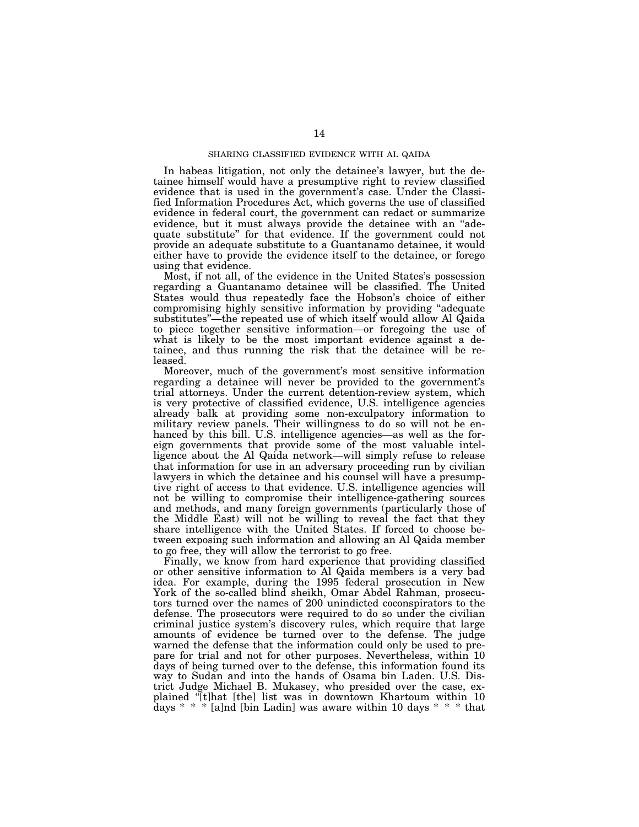#### SHARING CLASSIFIED EVIDENCE WITH AL QAIDA

In habeas litigation, not only the detainee's lawyer, but the detainee himself would have a presumptive right to review classified evidence that is used in the government's case. Under the Classified Information Procedures Act, which governs the use of classified evidence in federal court, the government can redact or summarize evidence, but it must always provide the detainee with an ''adequate substitute'' for that evidence. If the government could not provide an adequate substitute to a Guantanamo detainee, it would either have to provide the evidence itself to the detainee, or forego using that evidence.

Most, if not all, of the evidence in the United States's possession regarding a Guantanamo detainee will be classified. The United States would thus repeatedly face the Hobson's choice of either compromising highly sensitive information by providing ''adequate substitutes''—the repeated use of which itself would allow Al Qaida to piece together sensitive information—or foregoing the use of what is likely to be the most important evidence against a detainee, and thus running the risk that the detainee will be released.

Moreover, much of the government's most sensitive information regarding a detainee will never be provided to the government's trial attorneys. Under the current detention-review system, which is very protective of classified evidence, U.S. intelligence agencies already balk at providing some non-exculpatory information to military review panels. Their willingness to do so will not be enhanced by this bill. U.S. intelligence agencies—as well as the foreign governments that provide some of the most valuable intelligence about the Al Qaida network—will simply refuse to release that information for use in an adversary proceeding run by civilian lawyers in which the detainee and his counsel will have a presumptive right of access to that evidence. U.S. intelligence agencies will not be willing to compromise their intelligence-gathering sources and methods, and many foreign governments (particularly those of the Middle East) will not be willing to reveal the fact that they share intelligence with the United States. If forced to choose between exposing such information and allowing an Al Qaida member to go free, they will allow the terrorist to go free.

Finally, we know from hard experience that providing classified or other sensitive information to Al Qaida members is a very bad idea. For example, during the 1995 federal prosecution in New York of the so-called blind sheikh, Omar Abdel Rahman, prosecutors turned over the names of 200 unindicted coconspirators to the defense. The prosecutors were required to do so under the civilian criminal justice system's discovery rules, which require that large amounts of evidence be turned over to the defense. The judge warned the defense that the information could only be used to prepare for trial and not for other purposes. Nevertheless, within 10 days of being turned over to the defense, this information found its way to Sudan and into the hands of Osama bin Laden. U.S. District Judge Michael B. Mukasey, who presided over the case, explained ''[t]hat [the] list was in downtown Khartoum within 10 days  $* * *$  [a]nd [bin Ladin] was aware within 10 days  $* * *$  that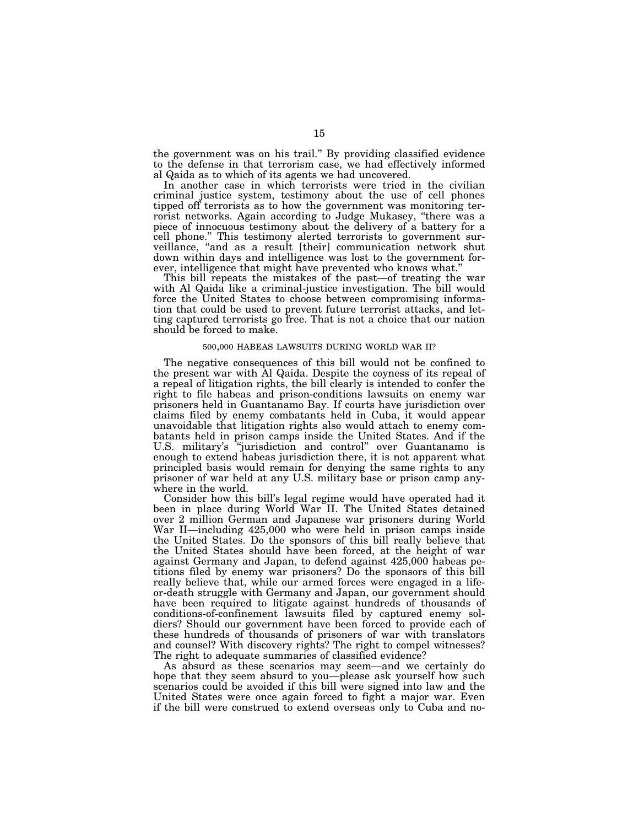the government was on his trail.'' By providing classified evidence to the defense in that terrorism case, we had effectively informed al Qaida as to which of its agents we had uncovered.

In another case in which terrorists were tried in the civilian criminal justice system, testimony about the use of cell phones tipped off terrorists as to how the government was monitoring terrorist networks. Again according to Judge Mukasey, ''there was a piece of innocuous testimony about the delivery of a battery for a cell phone.'' This testimony alerted terrorists to government surveillance, ''and as a result [their] communication network shut down within days and intelligence was lost to the government forever, intelligence that might have prevented who knows what.'' This bill repeats the mistakes of the past—of treating the war

with Al Qaida like a criminal-justice investigation. The bill would force the United States to choose between compromising information that could be used to prevent future terrorist attacks, and letting captured terrorists go free. That is not a choice that our nation should be forced to make.

#### 500,000 HABEAS LAWSUITS DURING WORLD WAR II?

The negative consequences of this bill would not be confined to the present war with Al Qaida. Despite the coyness of its repeal of a repeal of litigation rights, the bill clearly is intended to confer the right to file habeas and prison-conditions lawsuits on enemy war prisoners held in Guantanamo Bay. If courts have jurisdiction over claims filed by enemy combatants held in Cuba, it would appear unavoidable that litigation rights also would attach to enemy combatants held in prison camps inside the United States. And if the U.S. military's ''jurisdiction and control'' over Guantanamo is enough to extend habeas jurisdiction there, it is not apparent what principled basis would remain for denying the same rights to any prisoner of war held at any U.S. military base or prison camp anywhere in the world.

Consider how this bill's legal regime would have operated had it been in place during World War II. The United States detained over 2 million German and Japanese war prisoners during World War II—including 425,000 who were held in prison camps inside the United States. Do the sponsors of this bill really believe that the United States should have been forced, at the height of war against Germany and Japan, to defend against 425,000 habeas petitions filed by enemy war prisoners? Do the sponsors of this bill really believe that, while our armed forces were engaged in a lifeor-death struggle with Germany and Japan, our government should have been required to litigate against hundreds of thousands of conditions-of-confinement lawsuits filed by captured enemy soldiers? Should our government have been forced to provide each of these hundreds of thousands of prisoners of war with translators and counsel? With discovery rights? The right to compel witnesses? The right to adequate summaries of classified evidence?

As absurd as these scenarios may seem—and we certainly do hope that they seem absurd to you—please ask yourself how such scenarios could be avoided if this bill were signed into law and the United States were once again forced to fight a major war. Even if the bill were construed to extend overseas only to Cuba and no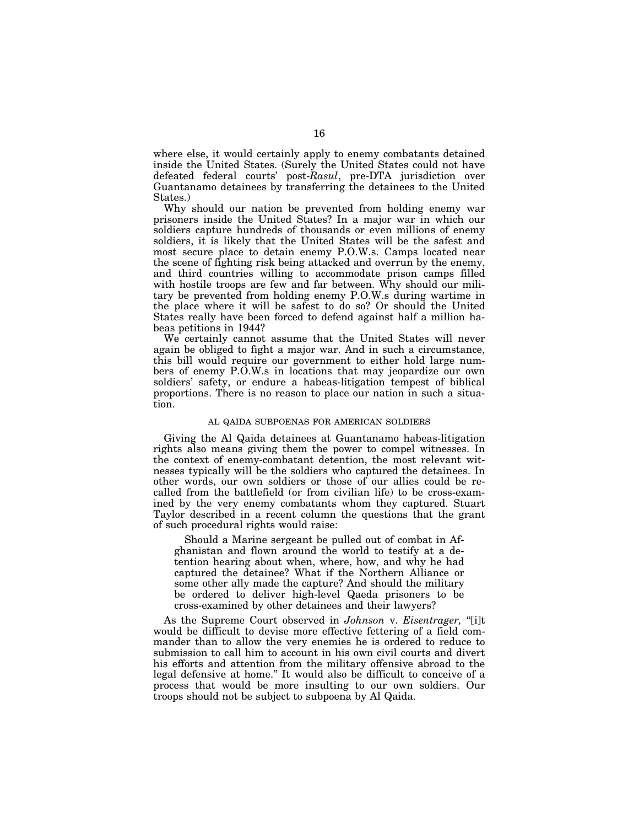where else, it would certainly apply to enemy combatants detained inside the United States. (Surely the United States could not have defeated federal courts' post-*Rasul*, pre-DTA jurisdiction over Guantanamo detainees by transferring the detainees to the United States.)

Why should our nation be prevented from holding enemy war prisoners inside the United States? In a major war in which our soldiers capture hundreds of thousands or even millions of enemy soldiers, it is likely that the United States will be the safest and most secure place to detain enemy P.O.W.s. Camps located near the scene of fighting risk being attacked and overrun by the enemy, and third countries willing to accommodate prison camps filled with hostile troops are few and far between. Why should our military be prevented from holding enemy P.O.W.s during wartime in the place where it will be safest to do so? Or should the United States really have been forced to defend against half a million habeas petitions in 1944?

We certainly cannot assume that the United States will never again be obliged to fight a major war. And in such a circumstance, this bill would require our government to either hold large numbers of enemy P.O.W.s in locations that may jeopardize our own soldiers' safety, or endure a habeas-litigation tempest of biblical proportions. There is no reason to place our nation in such a situation.

#### AL QAIDA SUBPOENAS FOR AMERICAN SOLDIERS

Giving the Al Qaida detainees at Guantanamo habeas-litigation rights also means giving them the power to compel witnesses. In the context of enemy-combatant detention, the most relevant witnesses typically will be the soldiers who captured the detainees. In other words, our own soldiers or those of our allies could be recalled from the battlefield (or from civilian life) to be cross-examined by the very enemy combatants whom they captured. Stuart Taylor described in a recent column the questions that the grant of such procedural rights would raise:

Should a Marine sergeant be pulled out of combat in Afghanistan and flown around the world to testify at a detention hearing about when, where, how, and why he had captured the detainee? What if the Northern Alliance or some other ally made the capture? And should the military be ordered to deliver high-level Qaeda prisoners to be cross-examined by other detainees and their lawyers?

As the Supreme Court observed in *Johnson* v. *Eisentrager*, "[i]t would be difficult to devise more effective fettering of a field commander than to allow the very enemies he is ordered to reduce to submission to call him to account in his own civil courts and divert his efforts and attention from the military offensive abroad to the legal defensive at home.'' It would also be difficult to conceive of a process that would be more insulting to our own soldiers. Our troops should not be subject to subpoena by Al Qaida.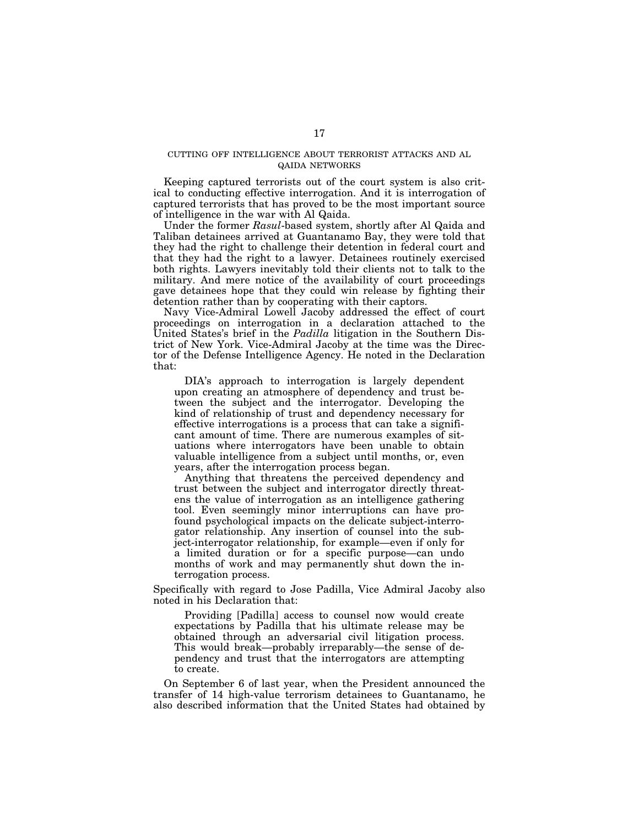## CUTTING OFF INTELLIGENCE ABOUT TERRORIST ATTACKS AND AL QAIDA NETWORKS

Keeping captured terrorists out of the court system is also critical to conducting effective interrogation. And it is interrogation of captured terrorists that has proved to be the most important source of intelligence in the war with Al Qaida.

Under the former *Rasul*-based system, shortly after Al Qaida and Taliban detainees arrived at Guantanamo Bay, they were told that they had the right to challenge their detention in federal court and that they had the right to a lawyer. Detainees routinely exercised both rights. Lawyers inevitably told their clients not to talk to the military. And mere notice of the availability of court proceedings gave detainees hope that they could win release by fighting their detention rather than by cooperating with their captors.

Navy Vice-Admiral Lowell Jacoby addressed the effect of court proceedings on interrogation in a declaration attached to the United States's brief in the *Padilla* litigation in the Southern District of New York. Vice-Admiral Jacoby at the time was the Director of the Defense Intelligence Agency. He noted in the Declaration that:

DIA's approach to interrogation is largely dependent upon creating an atmosphere of dependency and trust between the subject and the interrogator. Developing the kind of relationship of trust and dependency necessary for effective interrogations is a process that can take a significant amount of time. There are numerous examples of situations where interrogators have been unable to obtain valuable intelligence from a subject until months, or, even years, after the interrogation process began.

Anything that threatens the perceived dependency and trust between the subject and interrogator directly threatens the value of interrogation as an intelligence gathering tool. Even seemingly minor interruptions can have profound psychological impacts on the delicate subject-interrogator relationship. Any insertion of counsel into the subject-interrogator relationship, for example—even if only for a limited duration or for a specific purpose—can undo months of work and may permanently shut down the interrogation process.

Specifically with regard to Jose Padilla, Vice Admiral Jacoby also noted in his Declaration that:

Providing [Padilla] access to counsel now would create expectations by Padilla that his ultimate release may be obtained through an adversarial civil litigation process. This would break—probably irreparably—the sense of dependency and trust that the interrogators are attempting to create.

On September 6 of last year, when the President announced the transfer of 14 high-value terrorism detainees to Guantanamo, he also described information that the United States had obtained by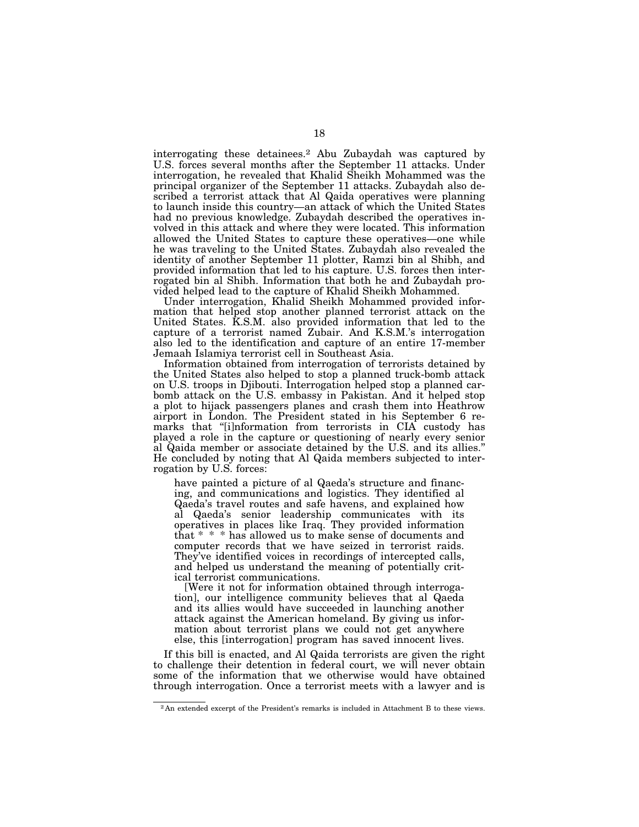interrogating these detainees.2 Abu Zubaydah was captured by U.S. forces several months after the September 11 attacks. Under interrogation, he revealed that Khalid Sheikh Mohammed was the principal organizer of the September 11 attacks. Zubaydah also described a terrorist attack that Al Qaida operatives were planning to launch inside this country—an attack of which the United States had no previous knowledge. Zubaydah described the operatives involved in this attack and where they were located. This information allowed the United States to capture these operatives—one while he was traveling to the United States. Zubaydah also revealed the identity of another September 11 plotter, Ramzi bin al Shibh, and provided information that led to his capture. U.S. forces then interrogated bin al Shibh. Information that both he and Zubaydah provided helped lead to the capture of Khalid Sheikh Mohammed.

Under interrogation, Khalid Sheikh Mohammed provided information that helped stop another planned terrorist attack on the United States. K.S.M. also provided information that led to the capture of a terrorist named Zubair. And K.S.M.'s interrogation also led to the identification and capture of an entire 17-member Jemaah Islamiya terrorist cell in Southeast Asia.

Information obtained from interrogation of terrorists detained by the United States also helped to stop a planned truck-bomb attack on U.S. troops in Djibouti. Interrogation helped stop a planned carbomb attack on the U.S. embassy in Pakistan. And it helped stop a plot to hijack passengers planes and crash them into Heathrow airport in London. The President stated in his September 6 remarks that ''[i]nformation from terrorists in CIA custody has played a role in the capture or questioning of nearly every senior al Qaida member or associate detained by the U.S. and its allies.'' He concluded by noting that Al Qaida members subjected to interrogation by U.S. forces:

have painted a picture of al Qaeda's structure and financing, and communications and logistics. They identified al Qaeda's travel routes and safe havens, and explained how al Qaeda's senior leadership communicates with its operatives in places like Iraq. They provided information that \* \* \* has allowed us to make sense of documents and computer records that we have seized in terrorist raids. They've identified voices in recordings of intercepted calls, and helped us understand the meaning of potentially critical terrorist communications.

[Were it not for information obtained through interrogation], our intelligence community believes that al Qaeda and its allies would have succeeded in launching another attack against the American homeland. By giving us information about terrorist plans we could not get anywhere else, this [interrogation] program has saved innocent lives.

If this bill is enacted, and Al Qaida terrorists are given the right to challenge their detention in federal court, we will never obtain some of the information that we otherwise would have obtained through interrogation. Once a terrorist meets with a lawyer and is

<sup>2</sup> An extended excerpt of the President's remarks is included in Attachment B to these views.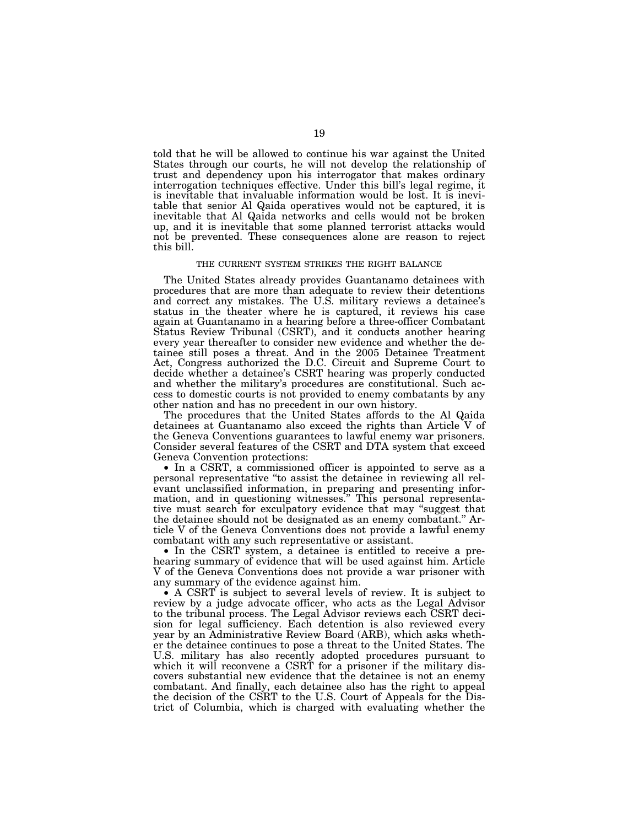told that he will be allowed to continue his war against the United States through our courts, he will not develop the relationship of trust and dependency upon his interrogator that makes ordinary interrogation techniques effective. Under this bill's legal regime, it is inevitable that invaluable information would be lost. It is inevitable that senior Al Qaida operatives would not be captured, it is inevitable that Al Qaida networks and cells would not be broken up, and it is inevitable that some planned terrorist attacks would not be prevented. These consequences alone are reason to reject this bill.

#### THE CURRENT SYSTEM STRIKES THE RIGHT BALANCE

The United States already provides Guantanamo detainees with procedures that are more than adequate to review their detentions and correct any mistakes. The U.S. military reviews a detainee's status in the theater where he is captured, it reviews his case again at Guantanamo in a hearing before a three-officer Combatant Status Review Tribunal (CSRT), and it conducts another hearing every year thereafter to consider new evidence and whether the detainee still poses a threat. And in the 2005 Detainee Treatment Act, Congress authorized the D.C. Circuit and Supreme Court to decide whether a detainee's CSRT hearing was properly conducted and whether the military's procedures are constitutional. Such access to domestic courts is not provided to enemy combatants by any other nation and has no precedent in our own history.

The procedures that the United States affords to the Al Qaida detainees at Guantanamo also exceed the rights than Article V of the Geneva Conventions guarantees to lawful enemy war prisoners. Consider several features of the CSRT and DTA system that exceed Geneva Convention protections:

• In a CSRT, a commissioned officer is appointed to serve as a personal representative ''to assist the detainee in reviewing all relevant unclassified information, in preparing and presenting information, and in questioning witnesses.'' This personal representative must search for exculpatory evidence that may ''suggest that the detainee should not be designated as an enemy combatant.'' Article V of the Geneva Conventions does not provide a lawful enemy combatant with any such representative or assistant.

• In the CSRT system, a detainee is entitled to receive a prehearing summary of evidence that will be used against him. Article V of the Geneva Conventions does not provide a war prisoner with any summary of the evidence against him.

• A CSRT is subject to several levels of review. It is subject to review by a judge advocate officer, who acts as the Legal Advisor to the tribunal process. The Legal Advisor reviews each CSRT decision for legal sufficiency. Each detention is also reviewed every year by an Administrative Review Board (ARB), which asks whether the detainee continues to pose a threat to the United States. The U.S. military has also recently adopted procedures pursuant to which it will reconvene a CSRT for a prisoner if the military discovers substantial new evidence that the detainee is not an enemy combatant. And finally, each detainee also has the right to appeal the decision of the CSRT to the U.S. Court of Appeals for the District of Columbia, which is charged with evaluating whether the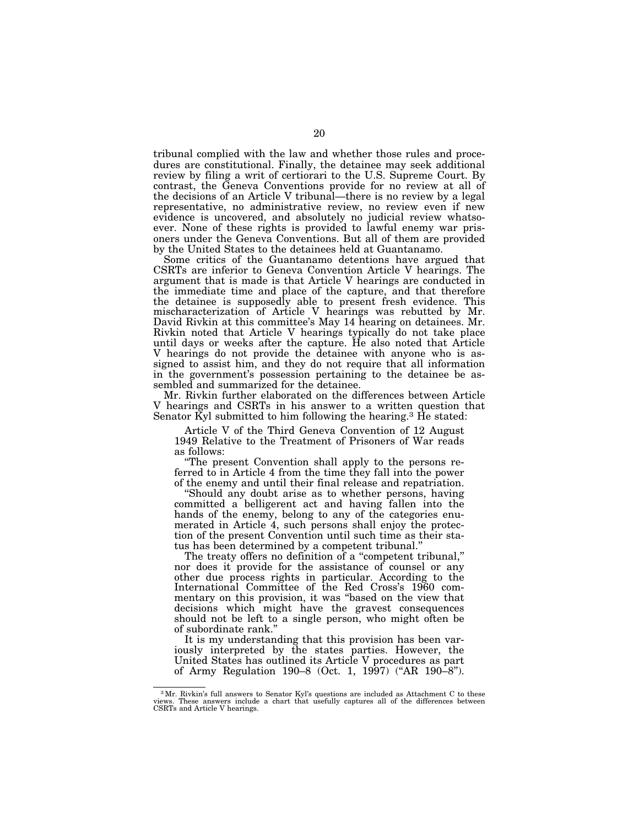tribunal complied with the law and whether those rules and procedures are constitutional. Finally, the detainee may seek additional review by filing a writ of certiorari to the U.S. Supreme Court. By contrast, the Geneva Conventions provide for no review at all of the decisions of an Article V tribunal—there is no review by a legal representative, no administrative review, no review even if new evidence is uncovered, and absolutely no judicial review whatsoever. None of these rights is provided to lawful enemy war prisoners under the Geneva Conventions. But all of them are provided by the United States to the detainees held at Guantanamo.

Some critics of the Guantanamo detentions have argued that CSRTs are inferior to Geneva Convention Article V hearings. The argument that is made is that Article V hearings are conducted in the immediate time and place of the capture, and that therefore the detainee is supposedly able to present fresh evidence. This mischaracterization of Article V hearings was rebutted by Mr. David Rivkin at this committee's May 14 hearing on detainees. Mr. Rivkin noted that Article V hearings typically do not take place until days or weeks after the capture. He also noted that Article V hearings do not provide the detainee with anyone who is assigned to assist him, and they do not require that all information in the government's possession pertaining to the detainee be assembled and summarized for the detainee.

Mr. Rivkin further elaborated on the differences between Article V hearings and CSRTs in his answer to a written question that Senator Kyl submitted to him following the hearing.<sup>3</sup> He stated:

Article V of the Third Geneva Convention of 12 August 1949 Relative to the Treatment of Prisoners of War reads as follows:

''The present Convention shall apply to the persons referred to in Article 4 from the time they fall into the power of the enemy and until their final release and repatriation.

''Should any doubt arise as to whether persons, having committed a belligerent act and having fallen into the hands of the enemy, belong to any of the categories enumerated in Article 4, such persons shall enjoy the protection of the present Convention until such time as their status has been determined by a competent tribunal.''

The treaty offers no definition of a "competent tribunal," nor does it provide for the assistance of counsel or any other due process rights in particular. According to the International Committee of the Red Cross's 1960 commentary on this provision, it was ''based on the view that decisions which might have the gravest consequences should not be left to a single person, who might often be of subordinate rank.''

It is my understanding that this provision has been variously interpreted by the states parties. However, the United States has outlined its Article V procedures as part of Army Regulation 190–8 (Oct. 1, 1997) (''AR 190–8'').

<sup>3</sup>Mr. Rivkin's full answers to Senator Kyl's questions are included as Attachment C to these views. These answers include a chart that usefully captures all of the differences between CSRTs and Article V hearings.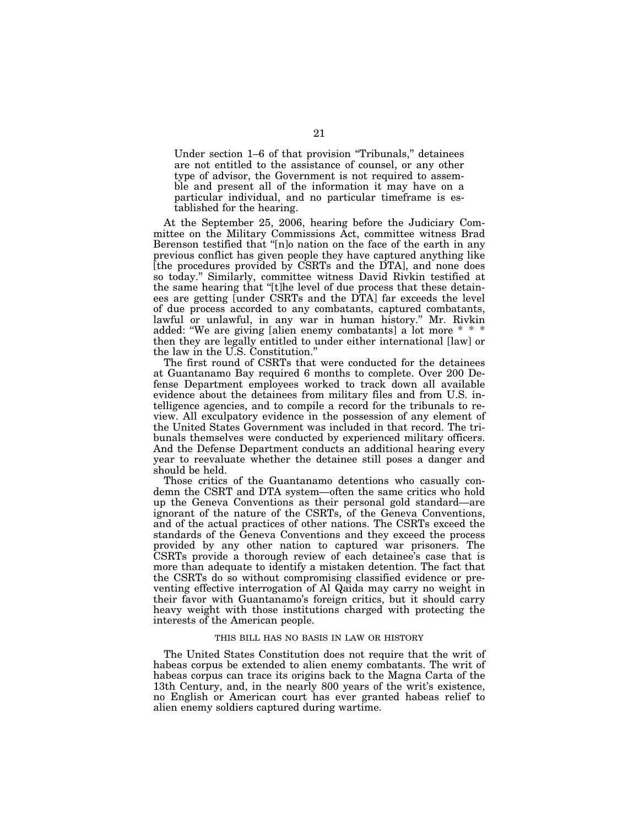Under section 1–6 of that provision ''Tribunals,'' detainees are not entitled to the assistance of counsel, or any other type of advisor, the Government is not required to assemble and present all of the information it may have on a particular individual, and no particular timeframe is established for the hearing.

At the September 25, 2006, hearing before the Judiciary Committee on the Military Commissions Act, committee witness Brad Berenson testified that ''[n]o nation on the face of the earth in any previous conflict has given people they have captured anything like [the procedures provided by CSRTs and the DTA], and none does so today.'' Similarly, committee witness David Rivkin testified at the same hearing that ''[t]he level of due process that these detainees are getting [under CSRTs and the DTA] far exceeds the level of due process accorded to any combatants, captured combatants, lawful or unlawful, in any war in human history.'' Mr. Rivkin added: ''We are giving [alien enemy combatants] a lot more \* \* \* then they are legally entitled to under either international [law] or the law in the U.S. Constitution.''

The first round of CSRTs that were conducted for the detainees at Guantanamo Bay required 6 months to complete. Over 200 Defense Department employees worked to track down all available evidence about the detainees from military files and from U.S. intelligence agencies, and to compile a record for the tribunals to review. All exculpatory evidence in the possession of any element of the United States Government was included in that record. The tribunals themselves were conducted by experienced military officers. And the Defense Department conducts an additional hearing every year to reevaluate whether the detainee still poses a danger and should be held.

Those critics of the Guantanamo detentions who casually condemn the CSRT and DTA system—often the same critics who hold up the Geneva Conventions as their personal gold standard—are ignorant of the nature of the CSRTs, of the Geneva Conventions, and of the actual practices of other nations. The CSRTs exceed the standards of the Geneva Conventions and they exceed the process provided by any other nation to captured war prisoners. The CSRTs provide a thorough review of each detainee's case that is more than adequate to identify a mistaken detention. The fact that the CSRTs do so without compromising classified evidence or preventing effective interrogation of Al Qaida may carry no weight in their favor with Guantanamo's foreign critics, but it should carry heavy weight with those institutions charged with protecting the interests of the American people.

#### THIS BILL HAS NO BASIS IN LAW OR HISTORY

The United States Constitution does not require that the writ of habeas corpus be extended to alien enemy combatants. The writ of habeas corpus can trace its origins back to the Magna Carta of the 13th Century, and, in the nearly 800 years of the writ's existence, no English or American court has ever granted habeas relief to alien enemy soldiers captured during wartime.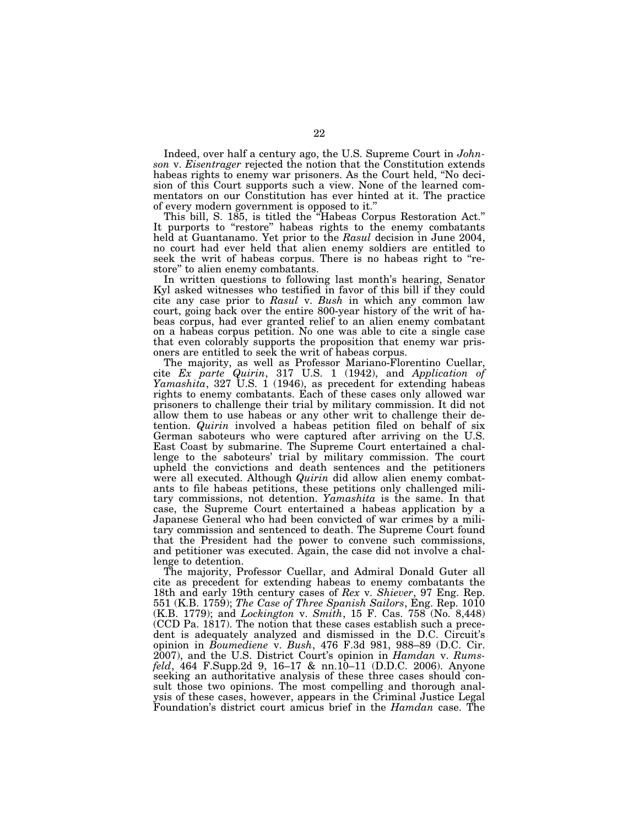Indeed, over half a century ago, the U.S. Supreme Court in *Johnson* v. *Eisentrager* rejected the notion that the Constitution extends habeas rights to enemy war prisoners. As the Court held, ''No decision of this Court supports such a view. None of the learned commentators on our Constitution has ever hinted at it. The practice

of every modern government is opposed to it.'' This bill, S. 185, is titled the ''Habeas Corpus Restoration Act.'' It purports to ''restore'' habeas rights to the enemy combatants held at Guantanamo. Yet prior to the *Rasul* decision in June 2004, no court had ever held that alien enemy soldiers are entitled to seek the writ of habeas corpus. There is no habeas right to "restore'' to alien enemy combatants.

In written questions to following last month's hearing, Senator Kyl asked witnesses who testified in favor of this bill if they could cite any case prior to *Rasul* v. *Bush* in which any common law court, going back over the entire 800-year history of the writ of habeas corpus, had ever granted relief to an alien enemy combatant on a habeas corpus petition. No one was able to cite a single case that even colorably supports the proposition that enemy war prisoners are entitled to seek the writ of habeas corpus.

The majority, as well as Professor Mariano-Florentino Cuellar, cite *Ex parte Quirin*, 317 U.S. 1 (1942), and *Application of Yamashita*, 327 U.S. 1 (1946), as precedent for extending habeas rights to enemy combatants. Each of these cases only allowed war prisoners to challenge their trial by military commission. It did not allow them to use habeas or any other writ to challenge their detention. *Quirin* involved a habeas petition filed on behalf of six German saboteurs who were captured after arriving on the U.S. East Coast by submarine. The Supreme Court entertained a challenge to the saboteurs' trial by military commission. The court upheld the convictions and death sentences and the petitioners were all executed. Although *Quirin* did allow alien enemy combatants to file habeas petitions, these petitions only challenged military commissions, not detention. *Yamashita* is the same. In that case, the Supreme Court entertained a habeas application by a Japanese General who had been convicted of war crimes by a military commission and sentenced to death. The Supreme Court found that the President had the power to convene such commissions, and petitioner was executed. Again, the case did not involve a challenge to detention.

The majority, Professor Cuellar, and Admiral Donald Guter all cite as precedent for extending habeas to enemy combatants the 18th and early 19th century cases of *Rex* v. *Shiever*, 97 Eng. Rep. 551 (K.B. 1759); *The Case of Three Spanish Sailors*, Eng. Rep. 1010 (K.B. 1779); and *Lockington* v. *Smith*, 15 F. Cas. 758 (No. 8,448) (CCD Pa. 1817). The notion that these cases establish such a precedent is adequately analyzed and dismissed in the D.C. Circuit's opinion in *Boumediene* v. *Bush*, 476 F.3d 981, 988–89 (D.C. Cir. 2007), and the U.S. District Court's opinion in *Hamdan* v. *Rumsfeld*, 464 F.Supp.2d 9, 16–17 & nn.10–11 (D.D.C. 2006). Anyone seeking an authoritative analysis of these three cases should consult those two opinions. The most compelling and thorough analysis of these cases, however, appears in the Criminal Justice Legal Foundation's district court amicus brief in the *Hamdan* case. The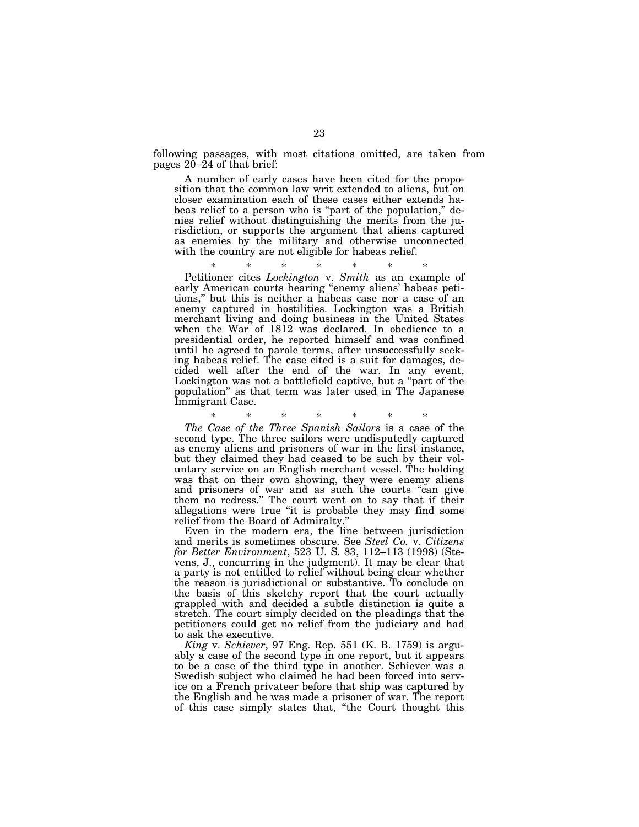following passages, with most citations omitted, are taken from pages  $20-\overline{24}$  of that brief:

A number of early cases have been cited for the proposition that the common law writ extended to aliens, but on closer examination each of these cases either extends habeas relief to a person who is "part of the population," denies relief without distinguishing the merits from the jurisdiction, or supports the argument that aliens captured as enemies by the military and otherwise unconnected with the country are not eligible for habeas relief.

## \* \* \* \* \* \* \*

Petitioner cites *Lockington* v. *Smith* as an example of early American courts hearing ''enemy aliens' habeas petitions,'' but this is neither a habeas case nor a case of an enemy captured in hostilities. Lockington was a British merchant living and doing business in the United States when the War of 1812 was declared. In obedience to a presidential order, he reported himself and was confined until he agreed to parole terms, after unsuccessfully seeking habeas relief. The case cited is a suit for damages, decided well after the end of the war. In any event, Lockington was not a battlefield captive, but a ''part of the population'' as that term was later used in The Japanese Immigrant Case.

# \* \* \* \* \* \* \* *The Case of the Three Spanish Sailors* is a case of the second type. The three sailors were undisputedly captured as enemy aliens and prisoners of war in the first instance, but they claimed they had ceased to be such by their voluntary service on an English merchant vessel. The holding was that on their own showing, they were enemy aliens and prisoners of war and as such the courts ''can give them no redress.'' The court went on to say that if their allegations were true "it is probable they may find some relief from the Board of Admiralty."

Even in the modern era, the line between jurisdiction and merits is sometimes obscure. See *Steel Co.* v. *Citizens for Better Environment*, 523 U. S. 83, 112–113 (1998) (Stevens, J., concurring in the judgment). It may be clear that a party is not entitled to relief without being clear whether the reason is jurisdictional or substantive. To conclude on the basis of this sketchy report that the court actually grappled with and decided a subtle distinction is quite a stretch. The court simply decided on the pleadings that the petitioners could get no relief from the judiciary and had to ask the executive.

*King* v. *Schiever*, 97 Eng. Rep. 551 (K. B. 1759) is arguably a case of the second type in one report, but it appears to be a case of the third type in another. Schiever was a Swedish subject who claimed he had been forced into service on a French privateer before that ship was captured by the English and he was made a prisoner of war. The report of this case simply states that, ''the Court thought this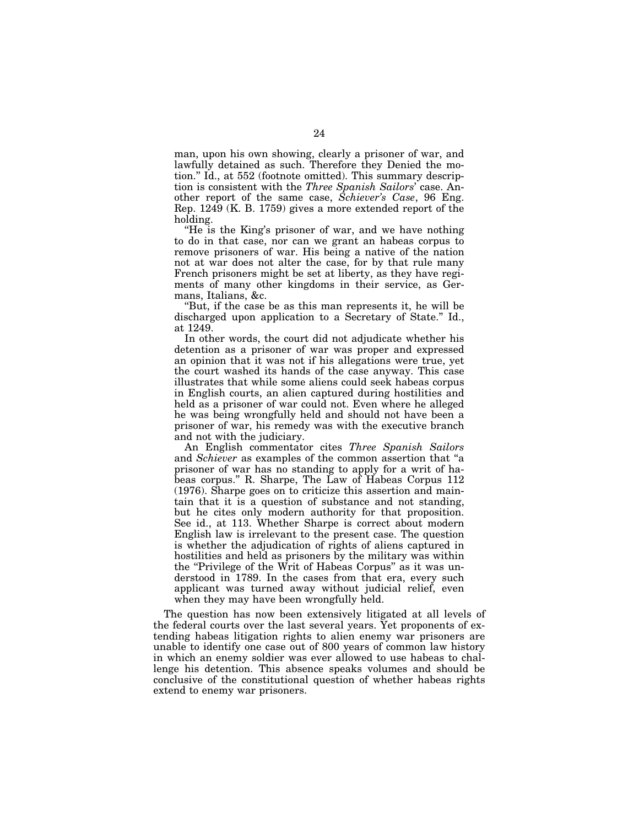man, upon his own showing, clearly a prisoner of war, and lawfully detained as such. Therefore they Denied the motion.'' Id., at 552 (footnote omitted). This summary description is consistent with the *Three Spanish Sailors*' case. Another report of the same case, *Schiever's Case*, 96 Eng. Rep. 1249 (K. B. 1759) gives a more extended report of the holding.

"He is the King's prisoner of war, and we have nothing to do in that case, nor can we grant an habeas corpus to remove prisoners of war. His being a native of the nation not at war does not alter the case, for by that rule many French prisoners might be set at liberty, as they have regiments of many other kingdoms in their service, as Germans, Italians, &c.

''But, if the case be as this man represents it, he will be discharged upon application to a Secretary of State.'' Id., at 1249.

In other words, the court did not adjudicate whether his detention as a prisoner of war was proper and expressed an opinion that it was not if his allegations were true, yet the court washed its hands of the case anyway. This case illustrates that while some aliens could seek habeas corpus in English courts, an alien captured during hostilities and held as a prisoner of war could not. Even where he alleged he was being wrongfully held and should not have been a prisoner of war, his remedy was with the executive branch and not with the judiciary.

An English commentator cites *Three Spanish Sailors*  and *Schiever* as examples of the common assertion that ''a prisoner of war has no standing to apply for a writ of habeas corpus.'' R. Sharpe, The Law of Habeas Corpus 112 (1976). Sharpe goes on to criticize this assertion and maintain that it is a question of substance and not standing, but he cites only modern authority for that proposition. See id., at 113. Whether Sharpe is correct about modern English law is irrelevant to the present case. The question is whether the adjudication of rights of aliens captured in hostilities and held as prisoners by the military was within the "Privilege of the Writ of Habeas Corpus" as it was understood in 1789. In the cases from that era, every such applicant was turned away without judicial relief, even when they may have been wrongfully held.

The question has now been extensively litigated at all levels of the federal courts over the last several years. Yet proponents of extending habeas litigation rights to alien enemy war prisoners are unable to identify one case out of 800 years of common law history in which an enemy soldier was ever allowed to use habeas to challenge his detention. This absence speaks volumes and should be conclusive of the constitutional question of whether habeas rights extend to enemy war prisoners.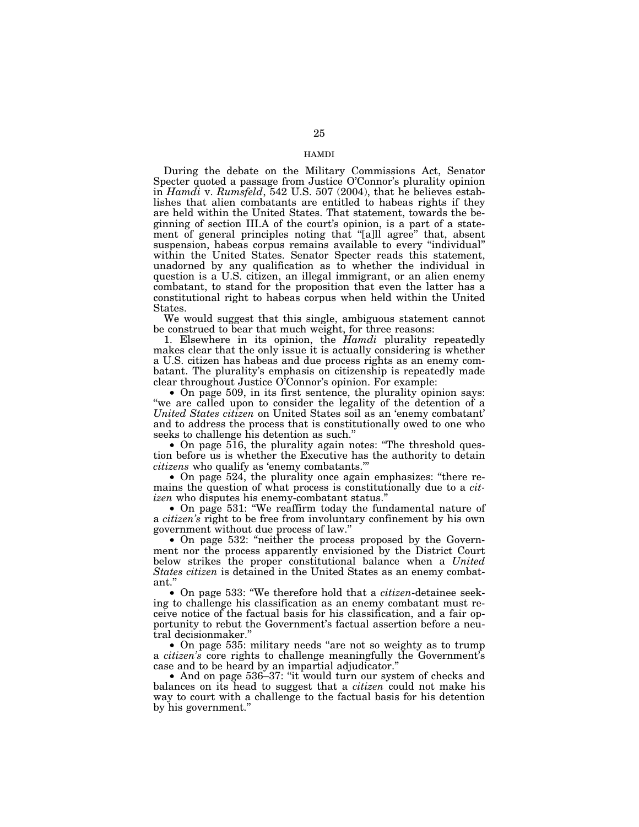## HAMDI

During the debate on the Military Commissions Act, Senator Specter quoted a passage from Justice O'Connor's plurality opinion in *Hamdi* v. *Rumsfeld*, 542 U.S. 507 (2004), that he believes establishes that alien combatants are entitled to habeas rights if they are held within the United States. That statement, towards the beginning of section III.A of the court's opinion, is a part of a statement of general principles noting that ''[a]ll agree'' that, absent suspension, habeas corpus remains available to every ''individual'' within the United States. Senator Specter reads this statement, unadorned by any qualification as to whether the individual in question is a U.S. citizen, an illegal immigrant, or an alien enemy combatant, to stand for the proposition that even the latter has a constitutional right to habeas corpus when held within the United States.

We would suggest that this single, ambiguous statement cannot be construed to bear that much weight, for three reasons:

1. Elsewhere in its opinion, the *Hamdi* plurality repeatedly makes clear that the only issue it is actually considering is whether a U.S. citizen has habeas and due process rights as an enemy combatant. The plurality's emphasis on citizenship is repeatedly made clear throughout Justice O'Connor's opinion. For example:

• On page 509, in its first sentence, the plurality opinion says: "we are called upon to consider the legality of the detention of a *United States citizen* on United States soil as an 'enemy combatant' and to address the process that is constitutionally owed to one who seeks to challenge his detention as such.''

• On page 516, the plurality again notes: ''The threshold question before us is whether the Executive has the authority to detain *citizens* who qualify as 'enemy combatants.'''

• On page 524, the plurality once again emphasizes: "there remains the question of what process is constitutionally due to a *citizen* who disputes his enemy-combatant status.''

• On page 531: ''We reaffirm today the fundamental nature of a *citizen's* right to be free from involuntary confinement by his own government without due process of law.''

• On page 532: "neither the process proposed by the Government nor the process apparently envisioned by the District Court below strikes the proper constitutional balance when a *United States citizen* is detained in the United States as an enemy combatant.''

• On page 533: ''We therefore hold that a *citizen*-detainee seeking to challenge his classification as an enemy combatant must receive notice of the factual basis for his classification, and a fair opportunity to rebut the Government's factual assertion before a neutral decisionmaker.''

• On page 535: military needs "are not so weighty as to trump a *citizen's* core rights to challenge meaningfully the Government's case and to be heard by an impartial adjudicator.

• And on page 536–37: "it would turn our system of checks and balances on its head to suggest that a *citizen* could not make his way to court with a challenge to the factual basis for his detention by his government.''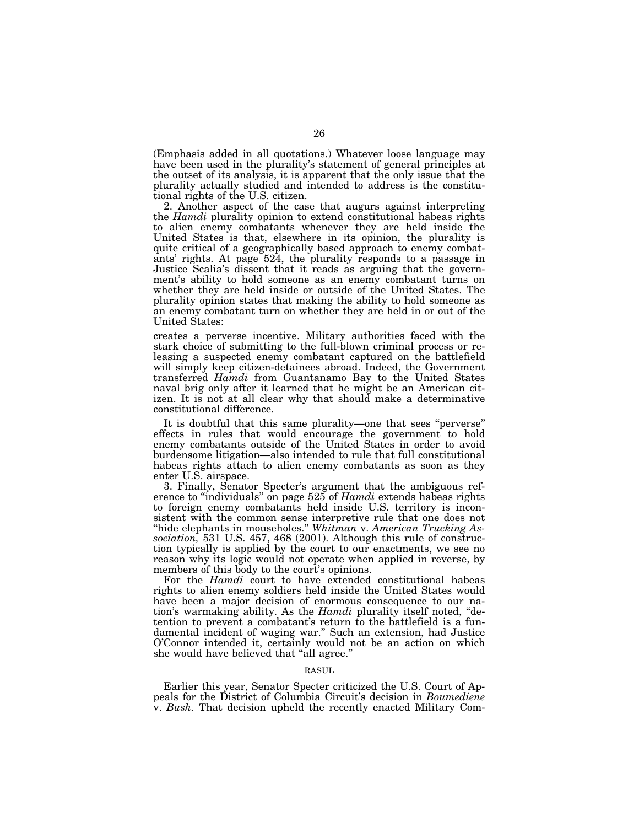(Emphasis added in all quotations.) Whatever loose language may have been used in the plurality's statement of general principles at the outset of its analysis, it is apparent that the only issue that the plurality actually studied and intended to address is the constitutional rights of the U.S. citizen.

2. Another aspect of the case that augurs against interpreting the *Hamdi* plurality opinion to extend constitutional habeas rights to alien enemy combatants whenever they are held inside the United States is that, elsewhere in its opinion, the plurality is quite critical of a geographically based approach to enemy combatants' rights. At page 524, the plurality responds to a passage in Justice Scalia's dissent that it reads as arguing that the government's ability to hold someone as an enemy combatant turns on whether they are held inside or outside of the United States. The plurality opinion states that making the ability to hold someone as an enemy combatant turn on whether they are held in or out of the United States:

creates a perverse incentive. Military authorities faced with the stark choice of submitting to the full-blown criminal process or releasing a suspected enemy combatant captured on the battlefield will simply keep citizen-detainees abroad. Indeed, the Government transferred *Hamdi* from Guantanamo Bay to the United States naval brig only after it learned that he might be an American citizen. It is not at all clear why that should make a determinative constitutional difference.

It is doubtful that this same plurality—one that sees ''perverse'' effects in rules that would encourage the government to hold enemy combatants outside of the United States in order to avoid burdensome litigation—also intended to rule that full constitutional habeas rights attach to alien enemy combatants as soon as they enter U.S. airspace.

3. Finally, Senator Specter's argument that the ambiguous reference to ''individuals'' on page 525 of *Hamdi* extends habeas rights to foreign enemy combatants held inside U.S. territory is inconsistent with the common sense interpretive rule that one does not ''hide elephants in mouseholes.'' *Whitman* v. *American Trucking Association,* 531 U.S. 457, 468 (2001). Although this rule of construction typically is applied by the court to our enactments, we see no reason why its logic would not operate when applied in reverse, by members of this body to the court's opinions.

For the *Hamdi* court to have extended constitutional habeas rights to alien enemy soldiers held inside the United States would have been a major decision of enormous consequence to our nation's warmaking ability. As the *Hamdi* plurality itself noted, ''detention to prevent a combatant's return to the battlefield is a fundamental incident of waging war.'' Such an extension, had Justice O'Connor intended it, certainly would not be an action on which she would have believed that ''all agree.''

#### **RASUL**

Earlier this year, Senator Specter criticized the U.S. Court of Appeals for the District of Columbia Circuit's decision in *Boumediene*  v. *Bush.* That decision upheld the recently enacted Military Com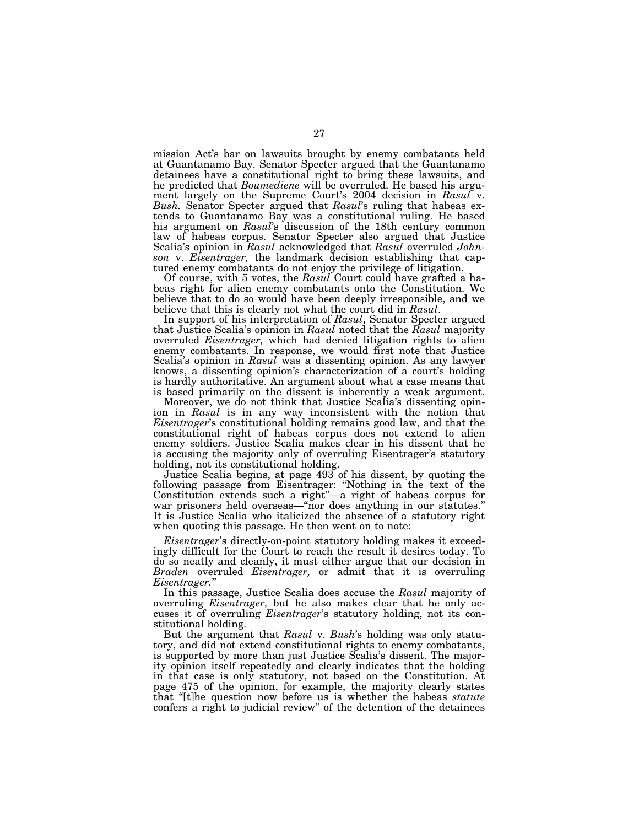mission Act's bar on lawsuits brought by enemy combatants held at Guantanamo Bay. Senator Specter argued that the Guantanamo detainees have a constitutional right to bring these lawsuits, and he predicted that *Boumediene* will be overruled. He based his argument largely on the Supreme Court's 2004 decision in *Rasul* v. *Bush.* Senator Specter argued that *Rasul*'s ruling that habeas extends to Guantanamo Bay was a constitutional ruling. He based his argument on *Rasul*'s discussion of the 18th century common law of habeas corpus. Senator Specter also argued that Justice Scalia's opinion in *Rasul* acknowledged that *Rasul* overruled *Johnson* v. *Eisentrager,* the landmark decision establishing that captured enemy combatants do not enjoy the privilege of litigation.

Of course, with 5 votes, the *Rasul* Court could have grafted a habeas right for alien enemy combatants onto the Constitution. We believe that to do so would have been deeply irresponsible, and we believe that this is clearly not what the court did in Rasul.

believe that this is clearly not what the court did in *Rasul*. In support of his interpretation of *Rasul*, Senator Specter argued that Justice Scalia's opinion in *Rasul* noted that the *Rasul* majority overruled *Eisentrager,* which had denied litigation rights to alien enemy combatants. In response, we would first note that Justice Scalia's opinion in *Rasul* was a dissenting opinion. As any lawyer knows, a dissenting opinion's characterization of a court's holding is hardly authoritative. An argument about what a case means that is based primarily on the dissent is inherently a weak argument.

Moreover, we do not think that Justice Scalia's dissenting opinion in *Rasul* is in any way inconsistent with the notion that *Eisentrager*'s constitutional holding remains good law, and that the constitutional right of habeas corpus does not extend to alien enemy soldiers. Justice Scalia makes clear in his dissent that he is accusing the majority only of overruling Eisentrager's statutory holding, not its constitutional holding.

Justice Scalia begins, at page 493 of his dissent, by quoting the following passage from Eisentrager: ''Nothing in the text of the Constitution extends such a right''—a right of habeas corpus for war prisoners held overseas—''nor does anything in our statutes.'' It is Justice Scalia who italicized the absence of a statutory right when quoting this passage. He then went on to note:

*Eisentrager*'s directly-on-point statutory holding makes it exceedingly difficult for the Court to reach the result it desires today. To do so neatly and cleanly, it must either argue that our decision in *Braden* overruled *Eisentrager,* or admit that it is overruling *Eisentrager.*''

In this passage, Justice Scalia does accuse the *Rasul* majority of overruling *Eisentrager,* but he also makes clear that he only accuses it of overruling *Eisentrager*'s statutory holding, not its constitutional holding.

But the argument that *Rasul* v. *Bush*'s holding was only statutory, and did not extend constitutional rights to enemy combatants, is supported by more than just Justice Scalia's dissent. The majority opinion itself repeatedly and clearly indicates that the holding in that case is only statutory, not based on the Constitution. At page 475 of the opinion, for example, the majority clearly states that ''[t]he question now before us is whether the habeas *statute*  confers a right to judicial review'' of the detention of the detainees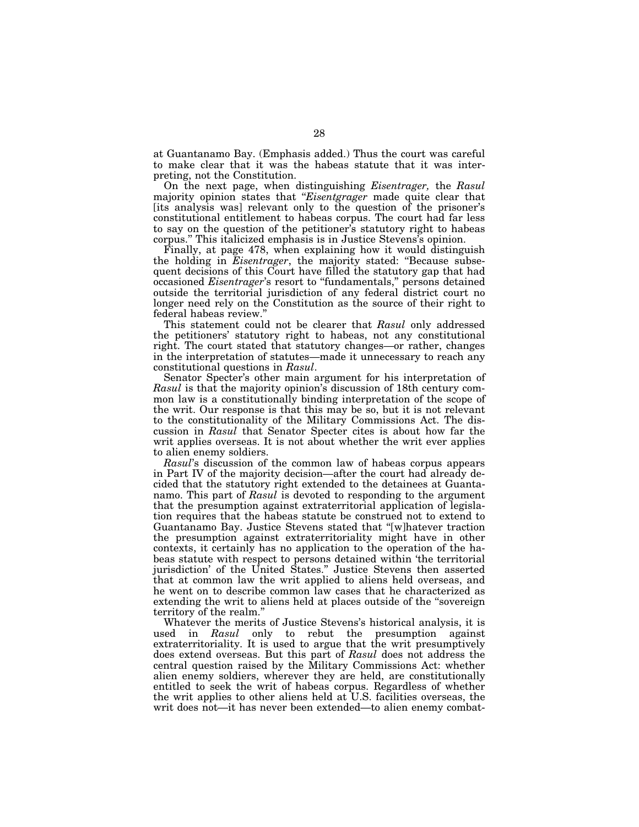at Guantanamo Bay. (Emphasis added.) Thus the court was careful to make clear that it was the habeas statute that it was interpreting, not the Constitution.

On the next page, when distinguishing *Eisentrager,* the *Rasul*  majority opinion states that ''*Eisentgrager* made quite clear that [its analysis was] relevant only to the question of the prisoner's constitutional entitlement to habeas corpus. The court had far less to say on the question of the petitioner's statutory right to habeas corpus.'' This italicized emphasis is in Justice Stevens's opinion.

Finally, at page 478, when explaining how it would distinguish the holding in *Eisentrager*, the majority stated: ''Because subsequent decisions of this Court have filled the statutory gap that had occasioned *Eisentrager*'s resort to ''fundamentals,'' persons detained outside the territorial jurisdiction of any federal district court no longer need rely on the Constitution as the source of their right to federal habeas review.

This statement could not be clearer that *Rasul* only addressed the petitioners' statutory right to habeas, not any constitutional right. The court stated that statutory changes—or rather, changes in the interpretation of statutes—made it unnecessary to reach any constitutional questions in *Rasul*.

Senator Specter's other main argument for his interpretation of *Rasul* is that the majority opinion's discussion of 18th century common law is a constitutionally binding interpretation of the scope of the writ. Our response is that this may be so, but it is not relevant to the constitutionality of the Military Commissions Act. The discussion in *Rasul* that Senator Specter cites is about how far the writ applies overseas. It is not about whether the writ ever applies to alien enemy soldiers.

*Rasul*'s discussion of the common law of habeas corpus appears in Part IV of the majority decision—after the court had already decided that the statutory right extended to the detainees at Guantanamo. This part of *Rasul* is devoted to responding to the argument that the presumption against extraterritorial application of legislation requires that the habeas statute be construed not to extend to Guantanamo Bay. Justice Stevens stated that ''[w]hatever traction the presumption against extraterritoriality might have in other contexts, it certainly has no application to the operation of the habeas statute with respect to persons detained within 'the territorial jurisdiction' of the United States.'' Justice Stevens then asserted that at common law the writ applied to aliens held overseas, and he went on to describe common law cases that he characterized as extending the writ to aliens held at places outside of the ''sovereign territory of the realm.''

Whatever the merits of Justice Stevens's historical analysis, it is used in *Rasul* only to rebut the presumption against extraterritoriality. It is used to argue that the writ presumptively does extend overseas. But this part of *Rasul* does not address the central question raised by the Military Commissions Act: whether alien enemy soldiers, wherever they are held, are constitutionally entitled to seek the writ of habeas corpus. Regardless of whether the writ applies to other aliens held at U.S. facilities overseas, the writ does not—it has never been extended—to alien enemy combat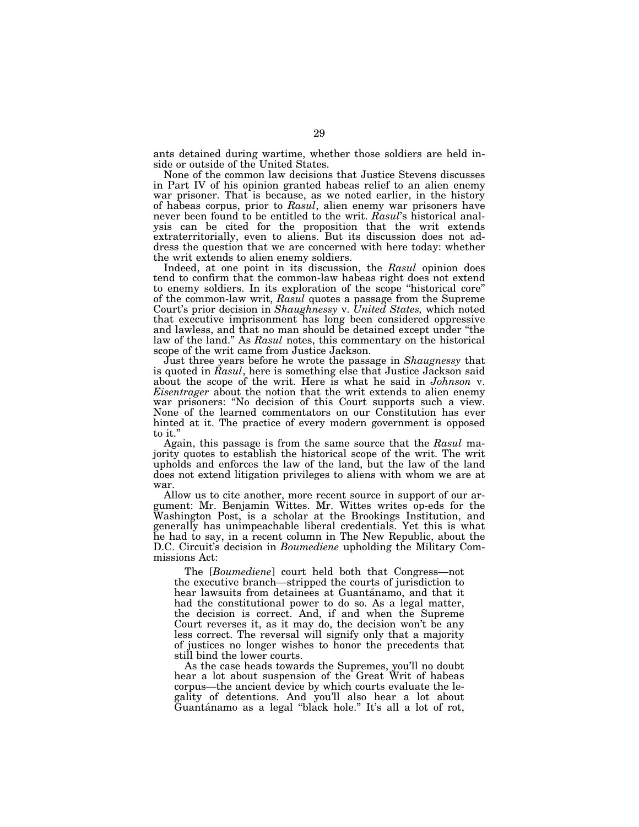ants detained during wartime, whether those soldiers are held inside or outside of the United States.

None of the common law decisions that Justice Stevens discusses in Part IV of his opinion granted habeas relief to an alien enemy war prisoner. That is because, as we noted earlier, in the history of habeas corpus, prior to *Rasul*, alien enemy war prisoners have never been found to be entitled to the writ. *Rasul*'s historical analysis can be cited for the proposition that the writ extends extraterritorially, even to aliens. But its discussion does not address the question that we are concerned with here today: whether the writ extends to alien enemy soldiers.

Indeed, at one point in its discussion, the *Rasul* opinion does tend to confirm that the common-law habeas right does not extend to enemy soldiers. In its exploration of the scope ''historical core'' of the common-law writ, *Rasul* quotes a passage from the Supreme Court's prior decision in *Shaughnessy* v. *United States,* which noted that executive imprisonment has long been considered oppressive and lawless, and that no man should be detained except under ''the law of the land.'' As *Rasul* notes, this commentary on the historical scope of the writ came from Justice Jackson.

Just three years before he wrote the passage in *Shaugnessy* that is quoted in *Rasul*, here is something else that Justice Jackson said about the scope of the writ. Here is what he said in *Johnson* v. *Eisentrager* about the notion that the writ extends to alien enemy war prisoners: "No decision of this Court supports such a view. None of the learned commentators on our Constitution has ever hinted at it. The practice of every modern government is opposed

Again, this passage is from the same source that the *Rasul* majority quotes to establish the historical scope of the writ. The writ upholds and enforces the law of the land, but the law of the land does not extend litigation privileges to aliens with whom we are at war.

Allow us to cite another, more recent source in support of our argument: Mr. Benjamin Wittes. Mr. Wittes writes op-eds for the Washington Post, is a scholar at the Brookings Institution, and generally has unimpeachable liberal credentials. Yet this is what he had to say, in a recent column in The New Republic, about the D.C. Circuit's decision in *Boumediene* upholding the Military Commissions Act:

The [*Boumediene*] court held both that Congress—not the executive branch—stripped the courts of jurisdiction to hear lawsuits from detainees at Guantánamo, and that it had the constitutional power to do so. As a legal matter, the decision is correct. And, if and when the Supreme Court reverses it, as it may do, the decision won't be any less correct. The reversal will signify only that a majority of justices no longer wishes to honor the precedents that still bind the lower courts.

As the case heads towards the Supremes, you'll no doubt hear a lot about suspension of the Great Writ of habeas corpus—the ancient device by which courts evaluate the legality of detentions. And you'll also hear a lot about Guantánamo as a legal "black hole." It's all a lot of rot,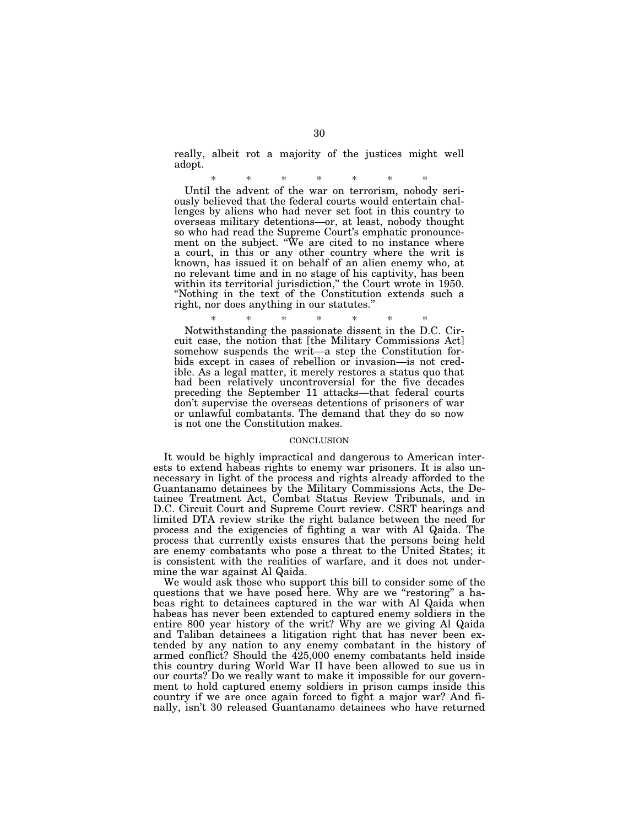really, albeit rot a majority of the justices might well adopt.

\* \* \* \* \* \* \* Until the advent of the war on terrorism, nobody seriously believed that the federal courts would entertain challenges by aliens who had never set foot in this country to overseas military detentions—or, at least, nobody thought so who had read the Supreme Court's emphatic pronouncement on the subject. ''We are cited to no instance where a court, in this or any other country where the writ is known, has issued it on behalf of an alien enemy who, at no relevant time and in no stage of his captivity, has been "Nothing in the text of the Constitution extends such a right, nor does anything in our statutes.''

\* \* \* \* \* \* \* Notwithstanding the passionate dissent in the D.C. Circuit case, the notion that [the Military Commissions Act] somehow suspends the writ—a step the Constitution forbids except in cases of rebellion or invasion—is not credible. As a legal matter, it merely restores a status quo that had been relatively uncontroversial for the five decades preceding the September 11 attacks—that federal courts don't supervise the overseas detentions of prisoners of war or unlawful combatants. The demand that they do so now is not one the Constitution makes.

#### **CONCLUSION**

It would be highly impractical and dangerous to American interests to extend habeas rights to enemy war prisoners. It is also unnecessary in light of the process and rights already afforded to the Guantanamo detainees by the Military Commissions Acts, the Detainee Treatment Act, Combat Status Review Tribunals, and in D.C. Circuit Court and Supreme Court review. CSRT hearings and limited DTA review strike the right balance between the need for process and the exigencies of fighting a war with Al Qaida. The process that currently exists ensures that the persons being held are enemy combatants who pose a threat to the United States; it is consistent with the realities of warfare, and it does not undermine the war against Al Qaida.

We would ask those who support this bill to consider some of the questions that we have posed here. Why are we "restoring" a habeas right to detainees captured in the war with Al Qaida when habeas has never been extended to captured enemy soldiers in the entire 800 year history of the writ? Why are we giving Al Qaida and Taliban detainees a litigation right that has never been extended by any nation to any enemy combatant in the history of armed conflict? Should the 425,000 enemy combatants held inside this country during World War II have been allowed to sue us in our courts? Do we really want to make it impossible for our government to hold captured enemy soldiers in prison camps inside this country if we are once again forced to fight a major war? And finally, isn't 30 released Guantanamo detainees who have returned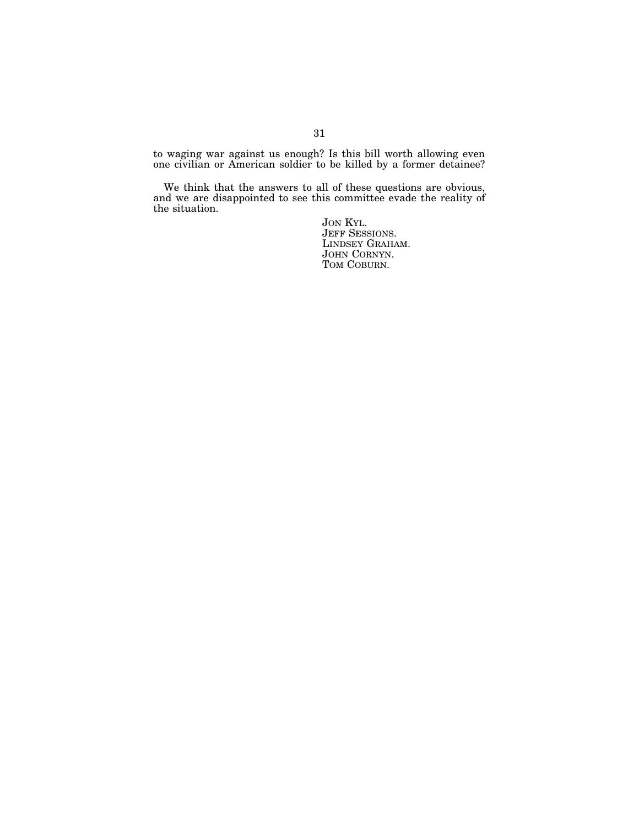to waging war against us enough? Is this bill worth allowing even one civilian or American soldier to be killed by a former detainee?

We think that the answers to all of these questions are obvious, and we are disappointed to see this committee evade the reality of the situation.

> JON KYL. JEFF SESSIONS. LINDSEY GRAHAM. JOHN CORNYN. TOM COBURN.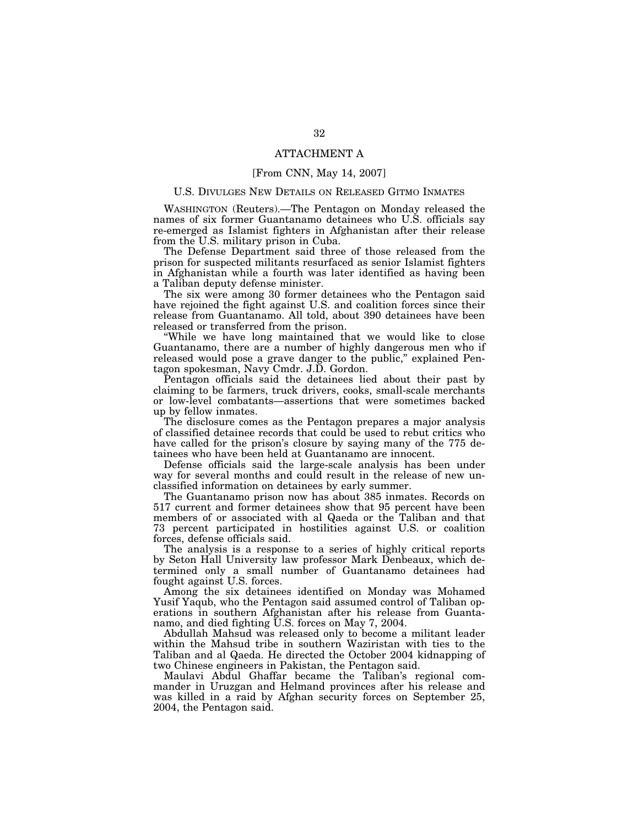# ATTACHMENT A

## [From CNN, May 14, 2007]

#### U.S. DIVULGES NEW DETAILS ON RELEASED GITMO INMATES

WASHINGTON (Reuters).—The Pentagon on Monday released the names of six former Guantanamo detainees who U.S. officials say re-emerged as Islamist fighters in Afghanistan after their release from the U.S. military prison in Cuba.

The Defense Department said three of those released from the prison for suspected militants resurfaced as senior Islamist fighters in Afghanistan while a fourth was later identified as having been a Taliban deputy defense minister.

The six were among 30 former detainees who the Pentagon said have rejoined the fight against U.S. and coalition forces since their release from Guantanamo. All told, about 390 detainees have been released or transferred from the prison.

''While we have long maintained that we would like to close Guantanamo, there are a number of highly dangerous men who if released would pose a grave danger to the public,'' explained Pentagon spokesman, Navy Cmdr. J.D. Gordon.

Pentagon officials said the detainees lied about their past by claiming to be farmers, truck drivers, cooks, small-scale merchants or low-level combatants—assertions that were sometimes backed up by fellow inmates.

The disclosure comes as the Pentagon prepares a major analysis of classified detainee records that could be used to rebut critics who have called for the prison's closure by saying many of the 775 detainees who have been held at Guantanamo are innocent.

Defense officials said the large-scale analysis has been under way for several months and could result in the release of new unclassified information on detainees by early summer.

The Guantanamo prison now has about 385 inmates. Records on 517 current and former detainees show that 95 percent have been members of or associated with al Qaeda or the Taliban and that 73 percent participated in hostilities against U.S. or coalition forces, defense officials said.

The analysis is a response to a series of highly critical reports by Seton Hall University law professor Mark Denbeaux, which determined only a small number of Guantanamo detainees had fought against U.S. forces.

Among the six detainees identified on Monday was Mohamed Yusif Yaqub, who the Pentagon said assumed control of Taliban operations in southern Afghanistan after his release from Guantanamo, and died fighting U.S. forces on May 7, 2004.

Abdullah Mahsud was released only to become a militant leader within the Mahsud tribe in southern Waziristan with ties to the Taliban and al Qaeda. He directed the October 2004 kidnapping of two Chinese engineers in Pakistan, the Pentagon said.

Maulavi Abdul Ghaffar became the Taliban's regional commander in Uruzgan and Helmand provinces after his release and was killed in a raid by Afghan security forces on September 25, 2004, the Pentagon said.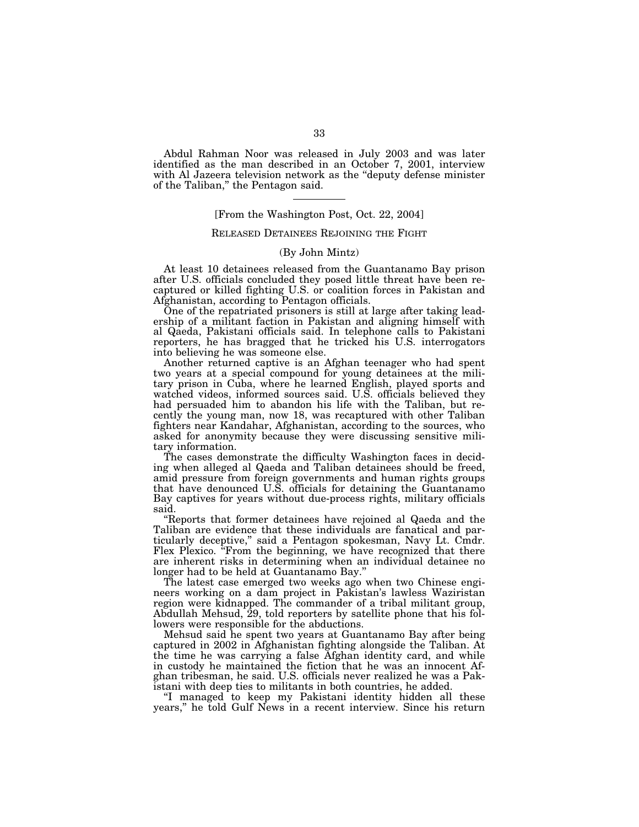Abdul Rahman Noor was released in July 2003 and was later identified as the man described in an October 7, 2001, interview with Al Jazeera television network as the "deputy defense minister of the Taliban,'' the Pentagon said.

# [From the Washington Post, Oct. 22, 2004]

#### RELEASED DETAINEES REJOINING THE FIGHT

#### (By John Mintz)

At least 10 detainees released from the Guantanamo Bay prison after U.S. officials concluded they posed little threat have been recaptured or killed fighting U.S. or coalition forces in Pakistan and Afghanistan, according to Pentagon officials.

One of the repatriated prisoners is still at large after taking leadership of a militant faction in Pakistan and aligning himself with al Qaeda, Pakistani officials said. In telephone calls to Pakistani reporters, he has bragged that he tricked his U.S. interrogators into believing he was someone else.

Another returned captive is an Afghan teenager who had spent two years at a special compound for young detainees at the military prison in Cuba, where he learned English, played sports and watched videos, informed sources said. U.S. officials believed they had persuaded him to abandon his life with the Taliban, but recently the young man, now 18, was recaptured with other Taliban fighters near Kandahar, Afghanistan, according to the sources, who asked for anonymity because they were discussing sensitive military information.

The cases demonstrate the difficulty Washington faces in deciding when alleged al Qaeda and Taliban detainees should be freed, amid pressure from foreign governments and human rights groups that have denounced U.S. officials for detaining the Guantanamo Bay captives for years without due-process rights, military officials said.

''Reports that former detainees have rejoined al Qaeda and the Taliban are evidence that these individuals are fanatical and particularly deceptive,'' said a Pentagon spokesman, Navy Lt. Cmdr. Flex Plexico. "From the beginning, we have recognized that there are inherent risks in determining when an individual detainee no longer had to be held at Guantanamo Bay.''

The latest case emerged two weeks ago when two Chinese engineers working on a dam project in Pakistan's lawless Waziristan region were kidnapped. The commander of a tribal militant group, Abdullah Mehsud, 29, told reporters by satellite phone that his followers were responsible for the abductions.

Mehsud said he spent two years at Guantanamo Bay after being captured in 2002 in Afghanistan fighting alongside the Taliban. At the time he was carrying a false Afghan identity card, and while in custody he maintained the fiction that he was an innocent Afghan tribesman, he said. U.S. officials never realized he was a Pakistani with deep ties to militants in both countries, he added.

''I managed to keep my Pakistani identity hidden all these years,'' he told Gulf News in a recent interview. Since his return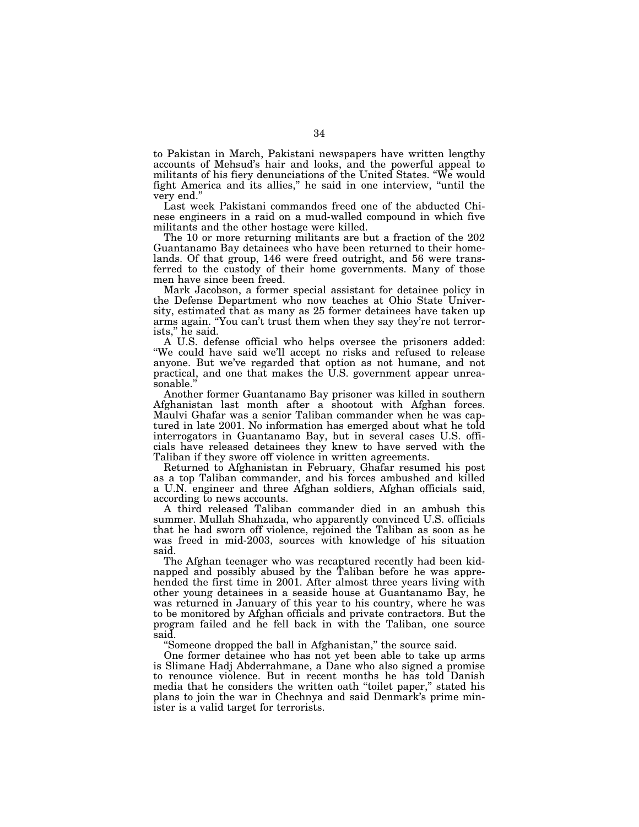to Pakistan in March, Pakistani newspapers have written lengthy accounts of Mehsud's hair and looks, and the powerful appeal to militants of his fiery denunciations of the United States. ''We would fight America and its allies,'' he said in one interview, ''until the very end.'' Last week Pakistani commandos freed one of the abducted Chi-

nese engineers in a raid on a mud-walled compound in which five militants and the other hostage were killed.

The 10 or more returning militants are but a fraction of the 202 Guantanamo Bay detainees who have been returned to their homelands. Of that group, 146 were freed outright, and 56 were transferred to the custody of their home governments. Many of those men have since been freed.

Mark Jacobson, a former special assistant for detainee policy in the Defense Department who now teaches at Ohio State University, estimated that as many as 25 former detainees have taken up arms again. ''You can't trust them when they say they're not terror-

ists," he said.<br>A U.S. defense official who helps oversee the prisoners added: "We could have said we'll accept no risks and refused to release anyone. But we've regarded that option as not humane, and not practical, and one that makes the U.S. government appear unrea-<br>sonable."

Another former Guantanamo Bay prisoner was killed in southern Afghanistan last month after a shootout with Afghan forces. Maulvi Ghafar was a senior Taliban commander when he was captured in late 2001. No information has emerged about what he told interrogators in Guantanamo Bay, but in several cases U.S. officials have released detainees they knew to have served with the Taliban if they swore off violence in written agreements.

Returned to Afghanistan in February, Ghafar resumed his post as a top Taliban commander, and his forces ambushed and killed a U.N. engineer and three Afghan soldiers, Afghan officials said, according to news accounts.

A third released Taliban commander died in an ambush this summer. Mullah Shahzada, who apparently convinced U.S. officials that he had sworn off violence, rejoined the Taliban as soon as he was freed in mid-2003, sources with knowledge of his situation said.

The Afghan teenager who was recaptured recently had been kidnapped and possibly abused by the Taliban before he was apprehended the first time in 2001. After almost three years living with other young detainees in a seaside house at Guantanamo Bay, he was returned in January of this year to his country, where he was to be monitored by Afghan officials and private contractors. But the program failed and he fell back in with the Taliban, one source said.

"Someone dropped the ball in Afghanistan," the source said.

One former detainee who has not yet been able to take up arms is Slimane Hadj Abderrahmane, a Dane who also signed a promise to renounce violence. But in recent months he has told Danish media that he considers the written oath ''toilet paper,'' stated his plans to join the war in Chechnya and said Denmark's prime minister is a valid target for terrorists.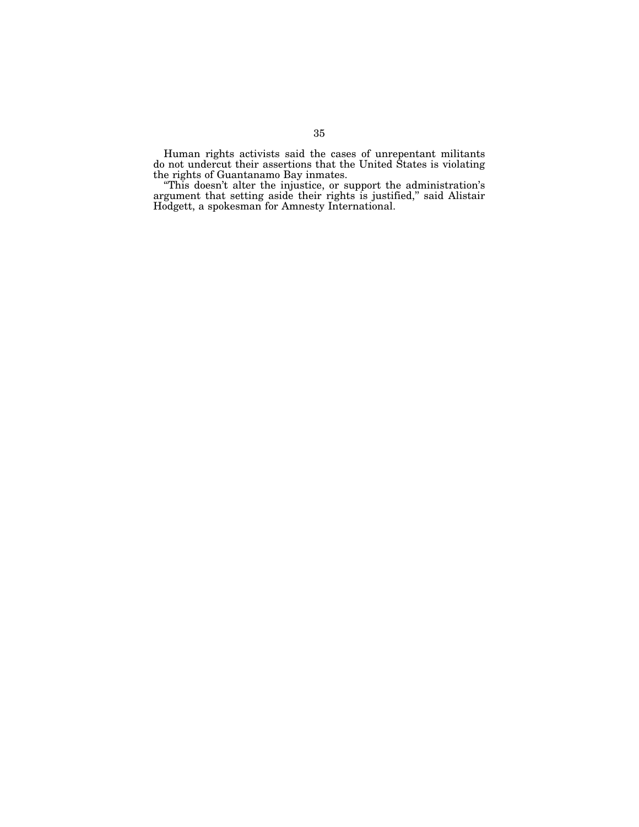Human rights activists said the cases of unrepentant militants do not undercut their assertions that the United States is violating the rights of Guantanamo Bay inmates. ''This doesn't alter the injustice, or support the administration's

argument that setting aside their rights is justified,'' said Alistair Hodgett, a spokesman for Amnesty International.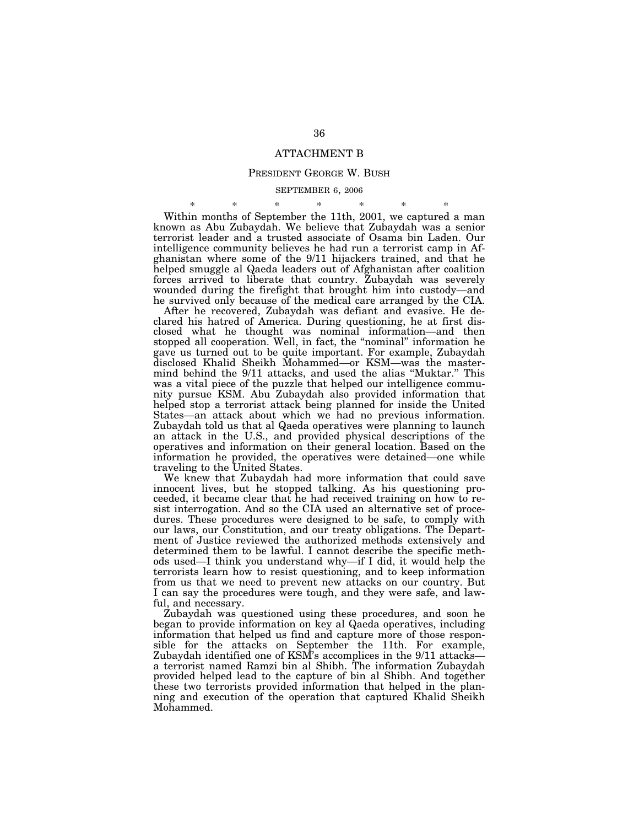# ATTACHMENT B

# PRESIDENT GEORGE W. BUSH

#### SEPTEMBER 6, 2006

\* \* \* \* \* \* \* Within months of September the 11th, 2001, we captured a man known as Abu Zubaydah. We believe that Zubaydah was a senior terrorist leader and a trusted associate of Osama bin Laden. Our intelligence community believes he had run a terrorist camp in Afghanistan where some of the 9/11 hijackers trained, and that he helped smuggle al Qaeda leaders out of Afghanistan after coalition forces arrived to liberate that country. Zubaydah was severely wounded during the firefight that brought him into custody—and he survived only because of the medical care arranged by the CIA.

After he recovered, Zubaydah was defiant and evasive. He declared his hatred of America. During questioning, he at first disclosed what he thought was nominal information—and then stopped all cooperation. Well, in fact, the ''nominal'' information he gave us turned out to be quite important. For example, Zubaydah disclosed Khalid Sheikh Mohammed—or KSM—was the mastermind behind the 9/11 attacks, and used the alias ''Muktar.'' This was a vital piece of the puzzle that helped our intelligence community pursue KSM. Abu Zubaydah also provided information that helped stop a terrorist attack being planned for inside the United States—an attack about which we had no previous information. Zubaydah told us that al Qaeda operatives were planning to launch an attack in the U.S., and provided physical descriptions of the operatives and information on their general location. Based on the information he provided, the operatives were detained—one while traveling to the United States.

We knew that Zubaydah had more information that could save innocent lives, but he stopped talking. As his questioning proceeded, it became clear that he had received training on how to resist interrogation. And so the CIA used an alternative set of procedures. These procedures were designed to be safe, to comply with our laws, our Constitution, and our treaty obligations. The Department of Justice reviewed the authorized methods extensively and determined them to be lawful. I cannot describe the specific methods used—I think you understand why—if I did, it would help the terrorists learn how to resist questioning, and to keep information from us that we need to prevent new attacks on our country. But I can say the procedures were tough, and they were safe, and lawful, and necessary.

Zubaydah was questioned using these procedures, and soon he began to provide information on key al Qaeda operatives, including information that helped us find and capture more of those responsible for the attacks on September the 11th. For example, Zubaydah identified one of KSM's accomplices in the 9/11 attacks a terrorist named Ramzi bin al Shibh. The information Zubaydah provided helped lead to the capture of bin al Shibh. And together these two terrorists provided information that helped in the planning and execution of the operation that captured Khalid Sheikh Mohammed.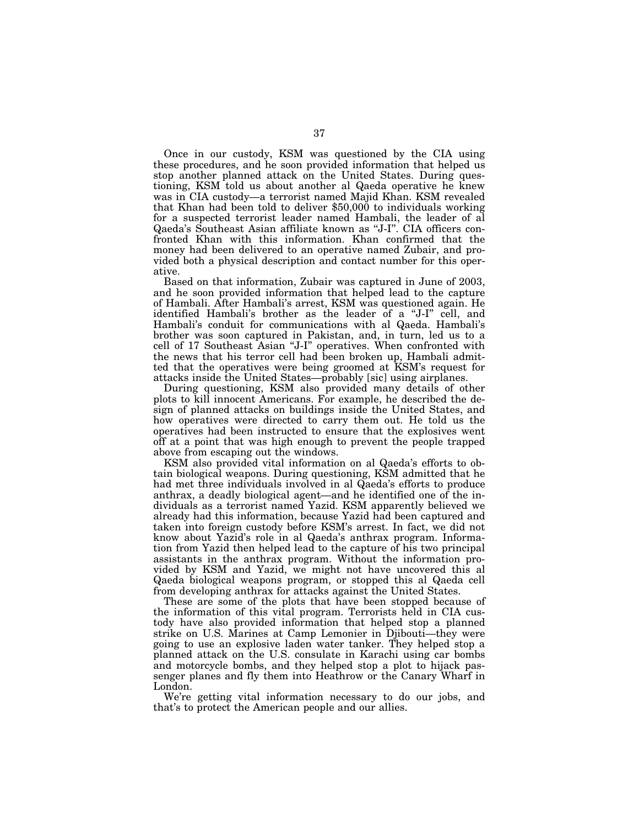Once in our custody, KSM was questioned by the CIA using these procedures, and he soon provided information that helped us stop another planned attack on the United States. During questioning, KSM told us about another al Qaeda operative he knew was in CIA custody—a terrorist named Majid Khan. KSM revealed that Khan had been told to deliver \$50,000 to individuals working for a suspected terrorist leader named Hambali, the leader of al Qaeda's Southeast Asian affiliate known as ''J-I''. CIA officers confronted Khan with this information. Khan confirmed that the money had been delivered to an operative named Zubair, and provided both a physical description and contact number for this operative.

Based on that information, Zubair was captured in June of 2003, and he soon provided information that helped lead to the capture of Hambali. After Hambali's arrest, KSM was questioned again. He identified Hambali's brother as the leader of a ''J-I'' cell, and Hambali's conduit for communications with al Qaeda. Hambali's brother was soon captured in Pakistan, and, in turn, led us to a cell of 17 Southeast Asian ''J-I'' operatives. When confronted with the news that his terror cell had been broken up, Hambali admitted that the operatives were being groomed at KSM's request for attacks inside the United States—probably [sic] using airplanes.

During questioning, KSM also provided many details of other plots to kill innocent Americans. For example, he described the design of planned attacks on buildings inside the United States, and how operatives were directed to carry them out. He told us the operatives had been instructed to ensure that the explosives went off at a point that was high enough to prevent the people trapped above from escaping out the windows.

KSM also provided vital information on al Qaeda's efforts to obtain biological weapons. During questioning, KSM admitted that he had met three individuals involved in al Qaeda's efforts to produce anthrax, a deadly biological agent—and he identified one of the individuals as a terrorist named Yazid. KSM apparently believed we already had this information, because Yazid had been captured and taken into foreign custody before KSM's arrest. In fact, we did not know about Yazid's role in al Qaeda's anthrax program. Information from Yazid then helped lead to the capture of his two principal assistants in the anthrax program. Without the information provided by KSM and Yazid, we might not have uncovered this al Qaeda biological weapons program, or stopped this al Qaeda cell from developing anthrax for attacks against the United States.

These are some of the plots that have been stopped because of the information of this vital program. Terrorists held in CIA custody have also provided information that helped stop a planned strike on U.S. Marines at Camp Lemonier in Djibouti—they were going to use an explosive laden water tanker. They helped stop a planned attack on the U.S. consulate in Karachi using car bombs and motorcycle bombs, and they helped stop a plot to hijack passenger planes and fly them into Heathrow or the Canary Wharf in London.

We're getting vital information necessary to do our jobs, and that's to protect the American people and our allies.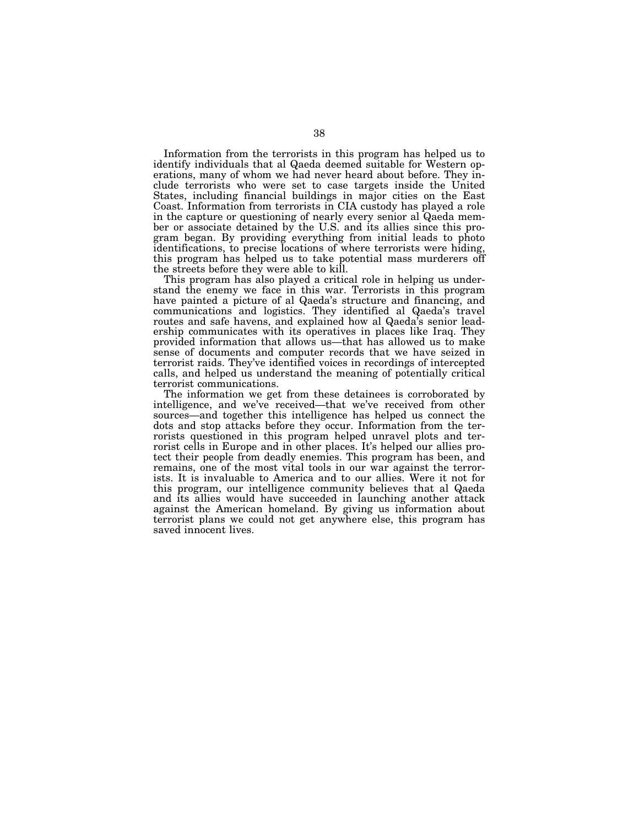Information from the terrorists in this program has helped us to identify individuals that al Qaeda deemed suitable for Western operations, many of whom we had never heard about before. They include terrorists who were set to case targets inside the United States, including financial buildings in major cities on the East Coast. Information from terrorists in CIA custody has played a role in the capture or questioning of nearly every senior al Qaeda member or associate detained by the U.S. and its allies since this program began. By providing everything from initial leads to photo identifications, to precise locations of where terrorists were hiding, this program has helped us to take potential mass murderers off the streets before they were able to kill.

This program has also played a critical role in helping us understand the enemy we face in this war. Terrorists in this program have painted a picture of al Qaeda's structure and financing, and communications and logistics. They identified al Qaeda's travel routes and safe havens, and explained how al Qaeda's senior leadership communicates with its operatives in places like Iraq. They provided information that allows us—that has allowed us to make sense of documents and computer records that we have seized in terrorist raids. They've identified voices in recordings of intercepted calls, and helped us understand the meaning of potentially critical terrorist communications.

The information we get from these detainees is corroborated by intelligence, and we've received—that we've received from other sources—and together this intelligence has helped us connect the dots and stop attacks before they occur. Information from the terrorists questioned in this program helped unravel plots and terrorist cells in Europe and in other places. It's helped our allies protect their people from deadly enemies. This program has been, and remains, one of the most vital tools in our war against the terrorists. It is invaluable to America and to our allies. Were it not for this program, our intelligence community believes that al Qaeda and its allies would have succeeded in launching another attack against the American homeland. By giving us information about terrorist plans we could not get anywhere else, this program has saved innocent lives.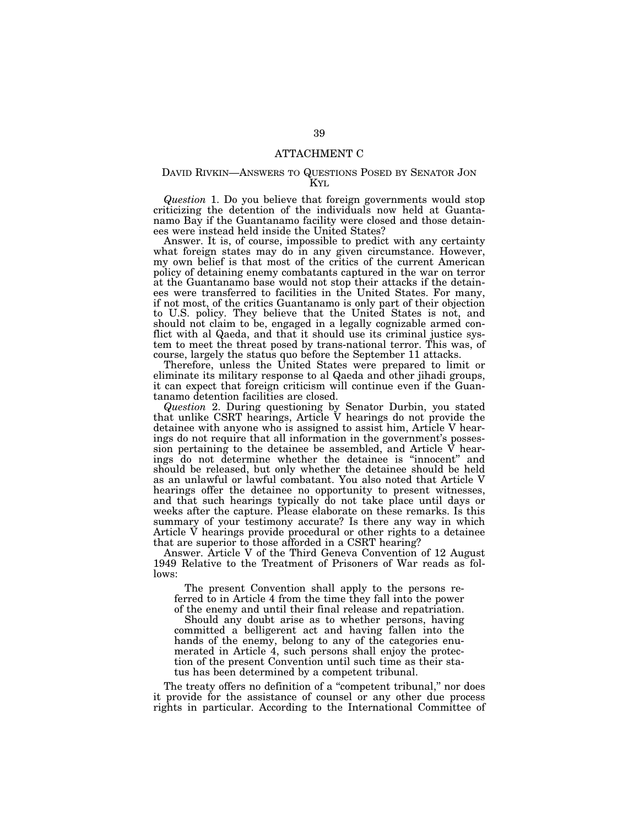# ATTACHMENT C

#### DAVID RIVKIN—ANSWERS TO QUESTIONS POSED BY SENATOR JON KYL

*Question* 1. Do you believe that foreign governments would stop criticizing the detention of the individuals now held at Guantanamo Bay if the Guantanamo facility were closed and those detainees were instead held inside the United States?

Answer. It is, of course, impossible to predict with any certainty what foreign states may do in any given circumstance. However, my own belief is that most of the critics of the current American policy of detaining enemy combatants captured in the war on terror at the Guantanamo base would not stop their attacks if the detainees were transferred to facilities in the United States. For many, if not most, of the critics Guantanamo is only part of their objection to U.S. policy. They believe that the United States is not, and should not claim to be, engaged in a legally cognizable armed conflict with al Qaeda, and that it should use its criminal justice system to meet the threat posed by trans-national terror. This was, of course, largely the status quo before the September 11 attacks.

Therefore, unless the United States were prepared to limit or eliminate its military response to al Qaeda and other jihadi groups, it can expect that foreign criticism will continue even if the Guantanamo detention facilities are closed.

*Question* 2. During questioning by Senator Durbin, you stated that unlike CSRT hearings, Article V hearings do not provide the detainee with anyone who is assigned to assist him, Article V hearings do not require that all information in the government's possession pertaining to the detainee be assembled, and Article  $\overline{V}$  hearings do not determine whether the detainee is ''innocent'' and should be released, but only whether the detainee should be held as an unlawful or lawful combatant. You also noted that Article V hearings offer the detainee no opportunity to present witnesses, and that such hearings typically do not take place until days or weeks after the capture. Please elaborate on these remarks. Is this summary of your testimony accurate? Is there any way in which Article V hearings provide procedural or other rights to a detainee that are superior to those afforded in a CSRT hearing?

Answer. Article V of the Third Geneva Convention of 12 August 1949 Relative to the Treatment of Prisoners of War reads as follows:

The present Convention shall apply to the persons referred to in Article 4 from the time they fall into the power of the enemy and until their final release and repatriation.

Should any doubt arise as to whether persons, having committed a belligerent act and having fallen into the hands of the enemy, belong to any of the categories enumerated in Article 4, such persons shall enjoy the protection of the present Convention until such time as their status has been determined by a competent tribunal.

The treaty offers no definition of a "competent tribunal," nor does it provide for the assistance of counsel or any other due process rights in particular. According to the International Committee of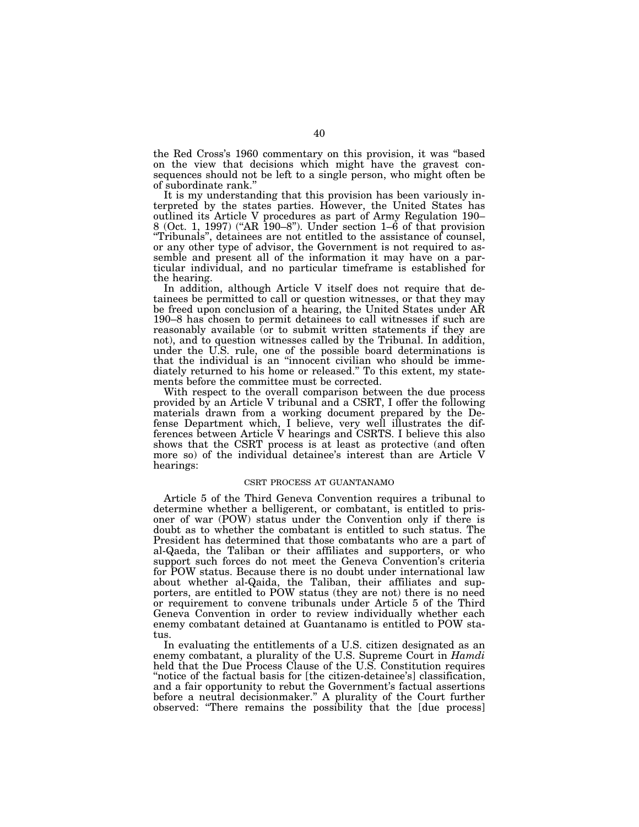the Red Cross's 1960 commentary on this provision, it was ''based on the view that decisions which might have the gravest consequences should not be left to a single person, who might often be

It is my understanding that this provision has been variously interpreted by the states parties. However, the United States has outlined its Article V procedures as part of Army Regulation 190–8 (Oct. 1, 1997) ("AR 190–8"). Under section 1–6 of that provision "Tribunals", detainees are not entitled to the assistance of counsel, or any other type of advisor, the Government is not required to assemble and present all of the information it may have on a particular individual, and no particular timeframe is established for the hearing.

In addition, although Article V itself does not require that detainees be permitted to call or question witnesses, or that they may be freed upon conclusion of a hearing, the United States under AR 190–8 has chosen to permit detainees to call witnesses if such are reasonably available (or to submit written statements if they are not), and to question witnesses called by the Tribunal. In addition, under the U.S. rule, one of the possible board determinations is that the individual is an ''innocent civilian who should be immediately returned to his home or released.'' To this extent, my statements before the committee must be corrected.

With respect to the overall comparison between the due process provided by an Article V tribunal and a CSRT, I offer the following materials drawn from a working document prepared by the Defense Department which, I believe, very well illustrates the differences between Article V hearings and CSRTS. I believe this also shows that the CSRT process is at least as protective (and often more so) of the individual detainee's interest than are Article V hearings:

#### CSRT PROCESS AT GUANTANAMO

Article 5 of the Third Geneva Convention requires a tribunal to determine whether a belligerent, or combatant, is entitled to prisoner of war (POW) status under the Convention only if there is doubt as to whether the combatant is entitled to such status. The President has determined that those combatants who are a part of al-Qaeda, the Taliban or their affiliates and supporters, or who support such forces do not meet the Geneva Convention's criteria for POW status. Because there is no doubt under international law about whether al-Qaida, the Taliban, their affiliates and supporters, are entitled to POW status (they are not) there is no need or requirement to convene tribunals under Article 5 of the Third Geneva Convention in order to review individually whether each enemy combatant detained at Guantanamo is entitled to POW status.

In evaluating the entitlements of a U.S. citizen designated as an enemy combatant, a plurality of the U.S. Supreme Court in *Hamdi*  held that the Due Process Clause of the U.S. Constitution requires "notice of the factual basis for [the citizen-detainee's] classification, and a fair opportunity to rebut the Government's factual assertions before a neutral decisionmaker.'' A plurality of the Court further observed: ''There remains the possibility that the [due process]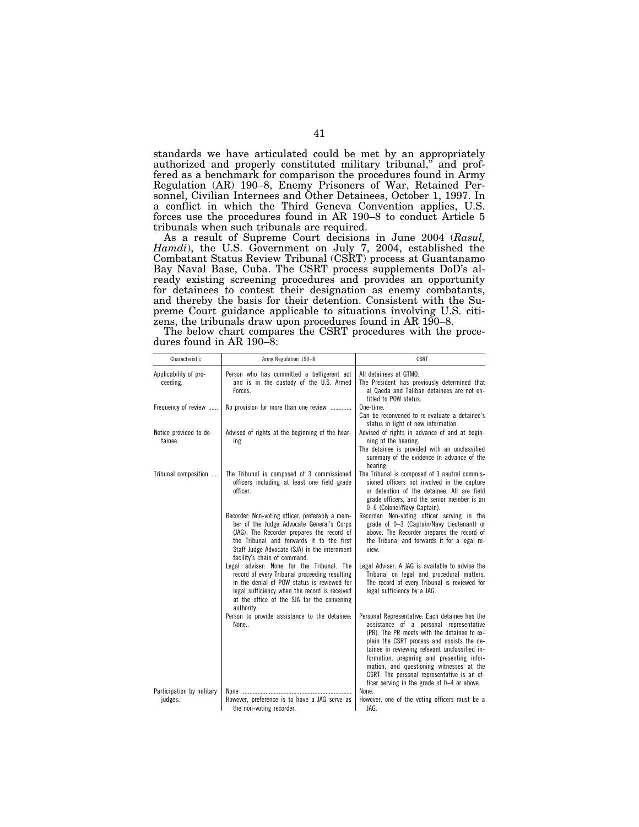standards we have articulated could be met by an appropriately authorized and properly constituted military tribunal,'' and proffered as a benchmark for comparison the procedures found in Army Regulation (AR) 190–8, Enemy Prisoners of War, Retained Personnel, Civilian Internees and Other Detainees, October 1, 1997. In a conflict in which the Third Geneva Convention applies, U.S. forces use the procedures found in AR 190–8 to conduct Article 5 tribunals when such tribunals are required.

As a result of Supreme Court decisions in June 2004 (*Rasul, Hamdi*), the U.S. Government on July 7, 2004, established the Combatant Status Review Tribunal (CSRT) process at Guantanamo Bay Naval Base, Cuba. The CSRT process supplements DoD's already existing screening procedures and provides an opportunity for detainees to contest their designation as enemy combatants, and thereby the basis for their detention. Consistent with the Supreme Court guidance applicable to situations involving U.S. citizens, the tribunals draw upon procedures found in AR 190–8.

The below chart compares the CSRT procedures with the procedures found in AR 190–8:

| Characteristic                       | Army Regulation 190-8                                                                                                                                                                                                                                                   | <b>CSRT</b>                                                                                                                                                                                                                                                                                                                                                                                                                     |
|--------------------------------------|-------------------------------------------------------------------------------------------------------------------------------------------------------------------------------------------------------------------------------------------------------------------------|---------------------------------------------------------------------------------------------------------------------------------------------------------------------------------------------------------------------------------------------------------------------------------------------------------------------------------------------------------------------------------------------------------------------------------|
| Applicability of pro-<br>ceeding.    | Person who has committed a belligerent act<br>and is in the custody of the U.S. Armed<br>Forces.                                                                                                                                                                        | All detainees at GTMO.<br>The President has previously determined that<br>al Qaeda and Taliban detainees are not en-<br>titled to POW status.                                                                                                                                                                                                                                                                                   |
| Frequency of review                  | No provision for more than one review                                                                                                                                                                                                                                   | One-time.<br>Can be reconvened to re-evaluate a detainee's<br>status in light of new information.                                                                                                                                                                                                                                                                                                                               |
| Notice provided to de-<br>tainee.    | Advised of rights at the beginning of the hear-<br>ing.                                                                                                                                                                                                                 | Advised of rights in advance of and at begin-<br>ning of the hearing.<br>The detainee is provided with an unclassified<br>summary of the evidence in advance of the<br>hearing.                                                                                                                                                                                                                                                 |
| Tribunal composition                 | The Tribunal is composed of 3 commissioned<br>officers including at least one field grade<br>officer.                                                                                                                                                                   | The Tribunal is composed of 3 neutral commis-<br>sioned officers not involved in the capture<br>or detention of the detainee. All are field<br>grade officers, and the senior member is an<br>0-6 (Colonel/Navy Captain).                                                                                                                                                                                                       |
|                                      | Recorder: Non-voting officer, preferably a mem-<br>ber of the Judge Advocate General's Corps<br>(JAG). The Recorder prepares the record of<br>the Tribunal and forwards it to the first<br>Staff Judge Advocate (SJA) in the internment<br>facility's chain of command. | Recorder: Non-voting officer serving in the<br>grade of 0-3 (Captain/Navy Lieutenant) or<br>above. The Recorder prepares the record of<br>the Tribunal and forwards it for a legal re-<br>view.                                                                                                                                                                                                                                 |
|                                      | Legal adviser: None for the Tribunal. The<br>record of every Tribunal proceeding resulting<br>in the denial of POW status is reviewed for<br>legal sufficiency when the record is received<br>at the office of the SJA for the convening<br>authority.                  | Legal Adviser: A JAG is available to advise the<br>Tribunal on legal and procedural matters.<br>The record of every Tribunal is reviewed for<br>legal sufficiency by a JAG.                                                                                                                                                                                                                                                     |
|                                      | Person to provide assistance to the detainee:<br>None                                                                                                                                                                                                                   | Personal Representative: Each detainee has the<br>assistance of a personal representative<br>(PR). The PR meets with the detainee to ex-<br>plain the CSRT process and assists the de-<br>tainee in reviewing relevant unclassified in-<br>formation, preparing and presenting infor-<br>mation, and questioning witnesses at the<br>CSRT. The personal representative is an of-<br>ficer serving in the grade of 0-4 or above. |
| Participation by military<br>judges. | However, preference is to have a JAG serve as<br>the non-voting recorder.                                                                                                                                                                                               | None.<br>However, one of the voting officers must be a<br>JAG.                                                                                                                                                                                                                                                                                                                                                                  |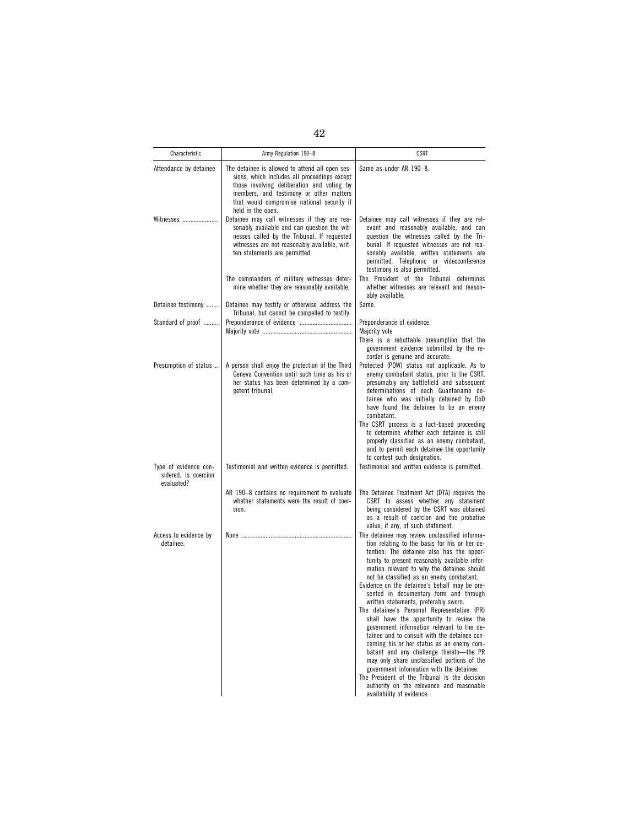| Characteristic                                              | Army Regulation 190-8                                                                                                                                                                                                                                       | CSRT                                                                                                                                                                                                                                                                                                                                                                                                                                                                                                                                                                                                                                                                                                                                                                                                                                                                                                                                |
|-------------------------------------------------------------|-------------------------------------------------------------------------------------------------------------------------------------------------------------------------------------------------------------------------------------------------------------|-------------------------------------------------------------------------------------------------------------------------------------------------------------------------------------------------------------------------------------------------------------------------------------------------------------------------------------------------------------------------------------------------------------------------------------------------------------------------------------------------------------------------------------------------------------------------------------------------------------------------------------------------------------------------------------------------------------------------------------------------------------------------------------------------------------------------------------------------------------------------------------------------------------------------------------|
| Attendance by detainee                                      | The detainee is allowed to attend all open ses-<br>sions, which includes all proceedings except<br>those involving deliberation and voting by<br>members, and testimony or other matters<br>that would compromise national security if<br>held in the open. | Same as under AR 190-8.                                                                                                                                                                                                                                                                                                                                                                                                                                                                                                                                                                                                                                                                                                                                                                                                                                                                                                             |
| Witnesses                                                   | Detainee may call witnesses if they are rea-<br>sonably available and can question the wit-<br>nesses called by the Tribunal. If requested<br>witnesses are not reasonably available, writ-<br>ten statements are permitted.                                | Detainee may call witnesses if they are rel-<br>evant and reasonably available, and can<br>question the witnesses called by the Tri-<br>bunal. If requested witnesses are not rea-<br>sonably available, written statements are<br>permitted. Telephonic or videoconference<br>testimony is also permitted.                                                                                                                                                                                                                                                                                                                                                                                                                                                                                                                                                                                                                         |
|                                                             | The commanders of military witnesses deter-<br>mine whether they are reasonably available.                                                                                                                                                                  | The President of the Tribunal determines<br>whether witnesses are relevant and reason-<br>ably available.                                                                                                                                                                                                                                                                                                                                                                                                                                                                                                                                                                                                                                                                                                                                                                                                                           |
| Detainee testimony                                          | Detainee may testify or otherwise address the<br>Tribunal, but cannot be compelled to testify.                                                                                                                                                              | Same.                                                                                                                                                                                                                                                                                                                                                                                                                                                                                                                                                                                                                                                                                                                                                                                                                                                                                                                               |
| Standard of proof                                           |                                                                                                                                                                                                                                                             | Preponderance of evidence.<br>Majority vote                                                                                                                                                                                                                                                                                                                                                                                                                                                                                                                                                                                                                                                                                                                                                                                                                                                                                         |
|                                                             |                                                                                                                                                                                                                                                             | There is a rebuttable presumption that the<br>government evidence submitted by the re-<br>corder is genuine and accurate.                                                                                                                                                                                                                                                                                                                                                                                                                                                                                                                                                                                                                                                                                                                                                                                                           |
| Presumption of status                                       | A person shall enjoy the protection of the Third<br>Geneva Convention until such time as his or<br>her status has been determined by a com-<br>petent tribunal.                                                                                             | Protected (POW) status not applicable. As to<br>enemy combatant status, prior to the CSRT,<br>presumably any battlefield and subsequent<br>determinations of each Guantanamo de-<br>tainee who was initially detained by DoD<br>have found the detainee to be an enemy<br>combatant.<br>The CSRT process is a fact-based proceeding<br>to determine whether each detainee is still<br>properly classified as an enemy combatant,<br>and to permit each detainee the opportunity<br>to contest such designation.                                                                                                                                                                                                                                                                                                                                                                                                                     |
| Type of evidence con-<br>sidered. Is coercion<br>evaluated? | Testimonial and written evidence is permitted.                                                                                                                                                                                                              | Testimonial and written evidence is permitted.                                                                                                                                                                                                                                                                                                                                                                                                                                                                                                                                                                                                                                                                                                                                                                                                                                                                                      |
|                                                             | AR 190-8 contains no requirement to evaluate<br>whether statements were the result of coer-<br>cion.                                                                                                                                                        | The Detainee Treatment Act (DTA) requires the<br>CSRT to assess whether any statement<br>being considered by the CSRT was obtained<br>as a result of coercion and the probative<br>value, if any, of such statement.                                                                                                                                                                                                                                                                                                                                                                                                                                                                                                                                                                                                                                                                                                                |
| Access to evidence by<br>detainee.                          |                                                                                                                                                                                                                                                             | The detainee may review unclassified informa-<br>tion relating to the basis for his or her de-<br>tention. The detainee also has the oppor-<br>tunity to present reasonably available infor-<br>mation relevant to why the detainee should<br>not be classified as an enemy combatant.<br>Evidence on the detainee's behalf may be pre-<br>sented in documentary form and through<br>written statements, preferably sworn.<br>The detainee's Personal Representative (PR)<br>shall have the opportunity to review the<br>government information relevant to the de-<br>tainee and to consult with the detainee con-<br>cerning his or her status as an enemy com-<br>batant and any challenge thereto-the PR<br>may only share unclassified portions of the<br>government information with the detainee.<br>The President of the Tribunal is the decision<br>authority on the relevance and reasonable<br>availability of evidence. |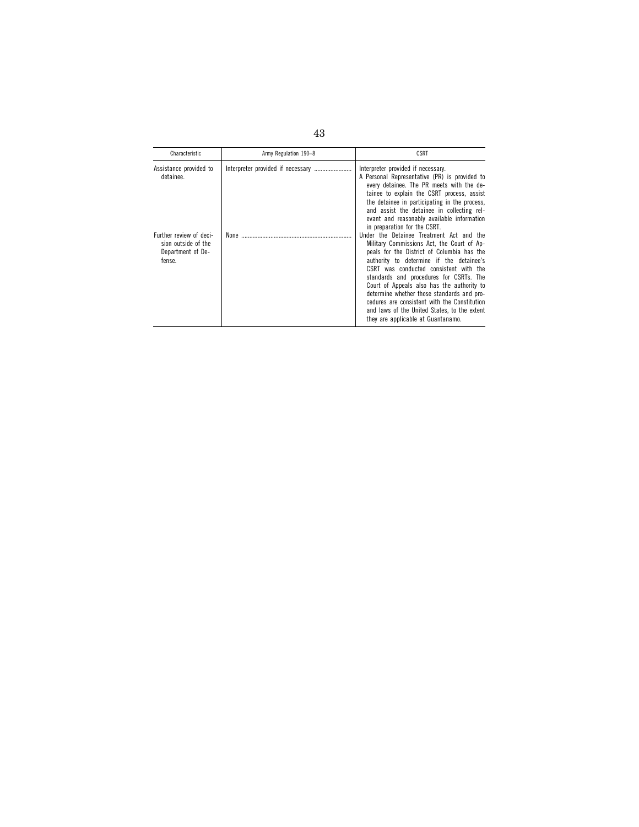| Characteristic                                                                | Army Regulation 190-8             | <b>CSRT</b>                                                                                                                                                                                                                                                                                                                                                                                                                                                                                             |
|-------------------------------------------------------------------------------|-----------------------------------|---------------------------------------------------------------------------------------------------------------------------------------------------------------------------------------------------------------------------------------------------------------------------------------------------------------------------------------------------------------------------------------------------------------------------------------------------------------------------------------------------------|
| Assistance provided to<br>detainee.                                           | Interpreter provided if necessary | Interpreter provided if necessary.<br>A Personal Representative (PR) is provided to<br>every detainee. The PR meets with the de-<br>tainee to explain the CSRT process, assist<br>the detainee in participating in the process,<br>and assist the detainee in collecting rel-<br>evant and reasonably available information<br>in preparation for the CSRT.                                                                                                                                             |
| Further review of deci-<br>sion outside of the<br>Department of De-<br>fense. | None                              | Under the Detainee Treatment Act and the<br>Military Commissions Act. the Court of Ap-<br>peals for the District of Columbia has the<br>authority to determine if the detainee's<br>CSRT was conducted consistent with the<br>standards and procedures for CSRTs. The<br>Court of Appeals also has the authority to<br>determine whether those standards and pro-<br>cedures are consistent with the Constitution<br>and laws of the United States, to the extent<br>they are applicable at Guantanamo. |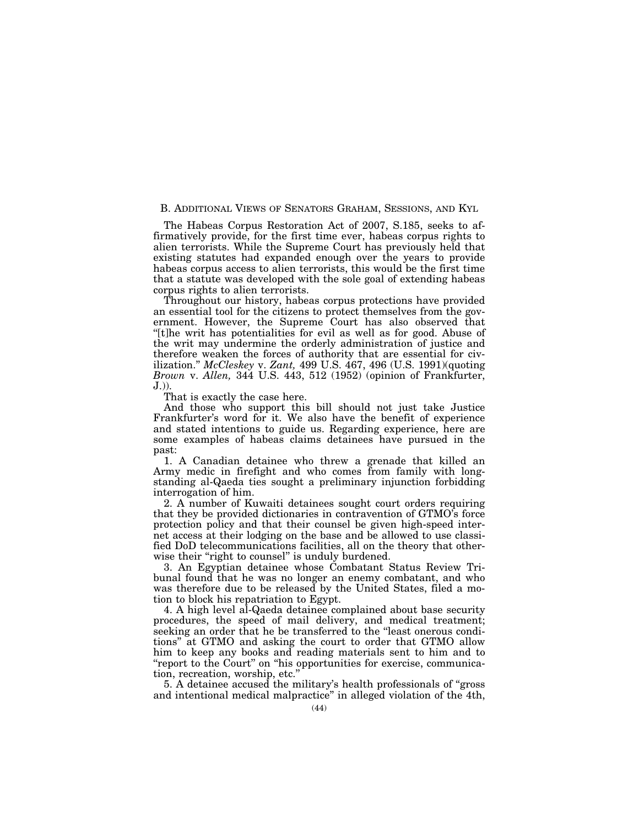#### B. ADDITIONAL VIEWS OF SENATORS GRAHAM, SESSIONS, AND KYL

The Habeas Corpus Restoration Act of 2007, S.185, seeks to affirmatively provide, for the first time ever, habeas corpus rights to alien terrorists. While the Supreme Court has previously held that existing statutes had expanded enough over the years to provide habeas corpus access to alien terrorists, this would be the first time that a statute was developed with the sole goal of extending habeas corpus rights to alien terrorists.

Throughout our history, habeas corpus protections have provided an essential tool for the citizens to protect themselves from the government. However, the Supreme Court has also observed that ''[t]he writ has potentialities for evil as well as for good. Abuse of the writ may undermine the orderly administration of justice and therefore weaken the forces of authority that are essential for civilization.'' *McCleskey* v. *Zant,* 499 U.S. 467, 496 (U.S. 1991)(quoting *Brown* v. *Allen,* 344 U.S. 443, 512 (1952) (opinion of Frankfurter, J.)).

That is exactly the case here.

And those who support this bill should not just take Justice Frankfurter's word for it. We also have the benefit of experience and stated intentions to guide us. Regarding experience, here are some examples of habeas claims detainees have pursued in the past:

1. A Canadian detainee who threw a grenade that killed an Army medic in firefight and who comes from family with longstanding al-Qaeda ties sought a preliminary injunction forbidding interrogation of him.

2. A number of Kuwaiti detainees sought court orders requiring that they be provided dictionaries in contravention of GTMO's force protection policy and that their counsel be given high-speed internet access at their lodging on the base and be allowed to use classified DoD telecommunications facilities, all on the theory that otherwise their "right to counsel" is unduly burdened.

3. An Egyptian detainee whose Combatant Status Review Tribunal found that he was no longer an enemy combatant, and who was therefore due to be released by the United States, filed a motion to block his repatriation to Egypt.

4. A high level al-Qaeda detainee complained about base security procedures, the speed of mail delivery, and medical treatment; seeking an order that he be transferred to the ''least onerous conditions'' at GTMO and asking the court to order that GTMO allow him to keep any books and reading materials sent to him and to ''report to the Court'' on ''his opportunities for exercise, communication, recreation, worship, etc.''

5. A detainee accused the military's health professionals of ''gross and intentional medical malpractice'' in alleged violation of the 4th,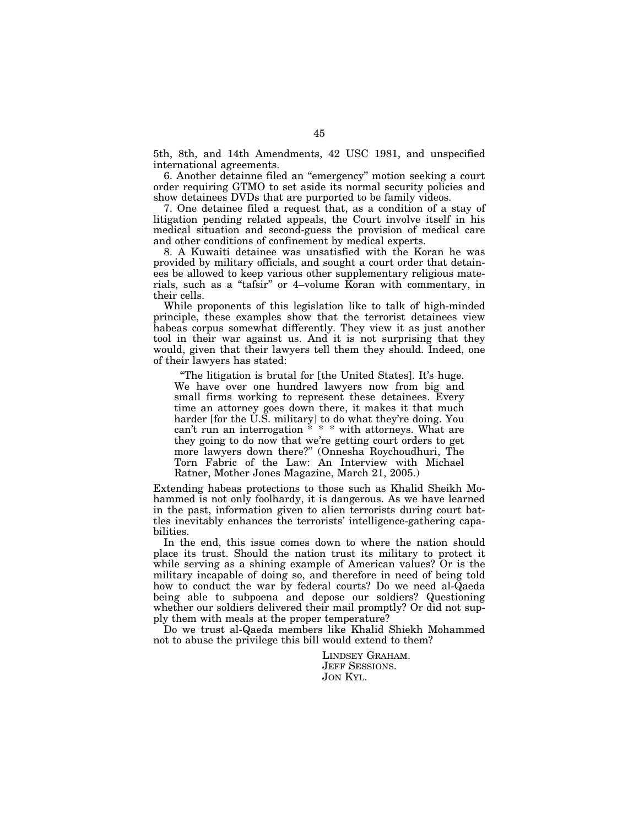5th, 8th, and 14th Amendments, 42 USC 1981, and unspecified international agreements.

6. Another detainne filed an ''emergency'' motion seeking a court order requiring GTMO to set aside its normal security policies and show detainees DVDs that are purported to be family videos.

7. One detainee filed a request that, as a condition of a stay of litigation pending related appeals, the Court involve itself in his medical situation and second-guess the provision of medical care and other conditions of confinement by medical experts.

8. A Kuwaiti detainee was unsatisfied with the Koran he was provided by military officials, and sought a court order that detainees be allowed to keep various other supplementary religious materials, such as a ''tafsir'' or 4–volume Koran with commentary, in their cells.

While proponents of this legislation like to talk of high-minded principle, these examples show that the terrorist detainees view habeas corpus somewhat differently. They view it as just another tool in their war against us. And it is not surprising that they would, given that their lawyers tell them they should. Indeed, one of their lawyers has stated:

''The litigation is brutal for [the United States]. It's huge. We have over one hundred lawyers now from big and small firms working to represent these detainees. Every time an attorney goes down there, it makes it that much harder [for the U.S. military] to do what they're doing. You can't run an interrogation \* \* \* with attorneys. What are they going to do now that we're getting court orders to get more lawyers down there?'' (Onnesha Roychoudhuri, The Torn Fabric of the Law: An Interview with Michael Ratner, Mother Jones Magazine, March 21, 2005.)

Extending habeas protections to those such as Khalid Sheikh Mohammed is not only foolhardy, it is dangerous. As we have learned in the past, information given to alien terrorists during court battles inevitably enhances the terrorists' intelligence-gathering capabilities.

In the end, this issue comes down to where the nation should place its trust. Should the nation trust its military to protect it while serving as a shining example of American values? Or is the military incapable of doing so, and therefore in need of being told how to conduct the war by federal courts? Do we need al-Qaeda being able to subpoena and depose our soldiers? Questioning whether our soldiers delivered their mail promptly? Or did not supply them with meals at the proper temperature?

Do we trust al-Qaeda members like Khalid Shiekh Mohammed not to abuse the privilege this bill would extend to them?

> LINDSEY GRAHAM. JEFF SESSIONS. JON KYL.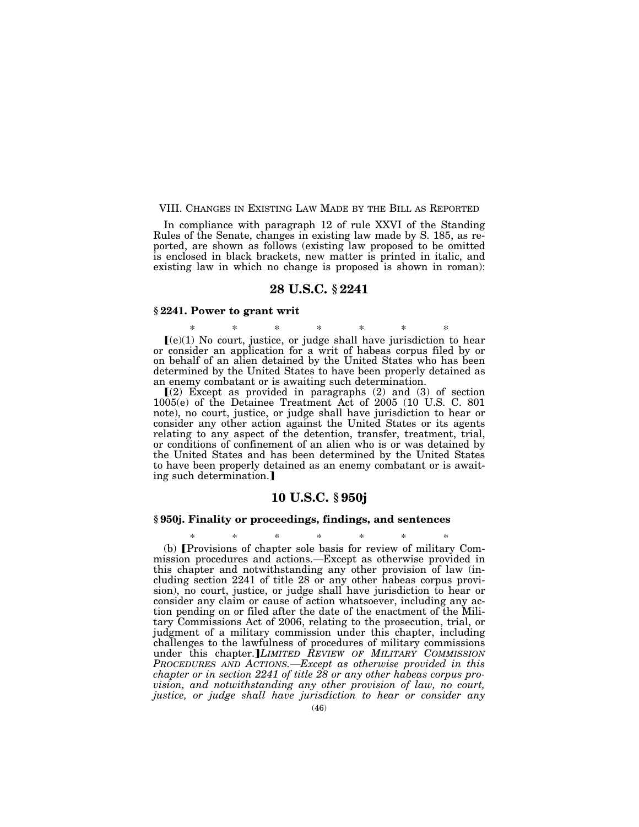VIII. CHANGES IN EXISTING LAW MADE BY THE BILL AS REPORTED

In compliance with paragraph 12 of rule XXVI of the Standing Rules of the Senate, changes in existing law made by S. 185, as reported, are shown as follows (existing law proposed to be omitted is enclosed in black brackets, new matter is printed in italic, and existing law in which no change is proposed is shown in roman):

# **28 U.S.C. § 2241**

## **§ 2241. Power to grant writ**

\* \* \* \* \* \* \*  $(e)(1)$  No court, justice, or judge shall have jurisdiction to hear or consider an application for a writ of habeas corpus filed by or on behalf of an alien detained by the United States who has been determined by the United States to have been properly detained as an enemy combatant or is awaiting such determination.

 $(2)$  Except as provided in paragraphs  $(2)$  and  $(3)$  of section 1005(e) of the Detainee Treatment Act of 2005 (10 U.S. C. 801 note), no court, justice, or judge shall have jurisdiction to hear or consider any other action against the United States or its agents relating to any aspect of the detention, transfer, treatment, trial, or conditions of confinement of an alien who is or was detained by the United States and has been determined by the United States to have been properly detained as an enemy combatant or is awaiting such determination.]

# **10 U.S.C. § 950j**

#### **§ 950j. Finality or proceedings, findings, and sentences**

\* \* \* \* \* \* \*  $(b)$  [Provisions of chapter sole basis for review of military Commission procedures and actions.—Except as otherwise provided in this chapter and notwithstanding any other provision of law (including section 2241 of title 28 or any other habeas corpus provision), no court, justice, or judge shall have jurisdiction to hear or consider any claim or cause of action whatsoever, including any action pending on or filed after the date of the enactment of the Military Commissions Act of 2006, relating to the prosecution, trial, or judgment of a military commission under this chapter, including challenges to the lawfulness of procedures of military commissions under this chapter.*JLIMITED REVIEW OF MILITARY COMMISSION PROCEDURES AND ACTIONS.*—*Except as otherwise provided in this chapter or in section 2241 of title 28 or any other habeas corpus provision, and notwithstanding any other provision of law, no court, justice, or judge shall have jurisdiction to hear or consider any*